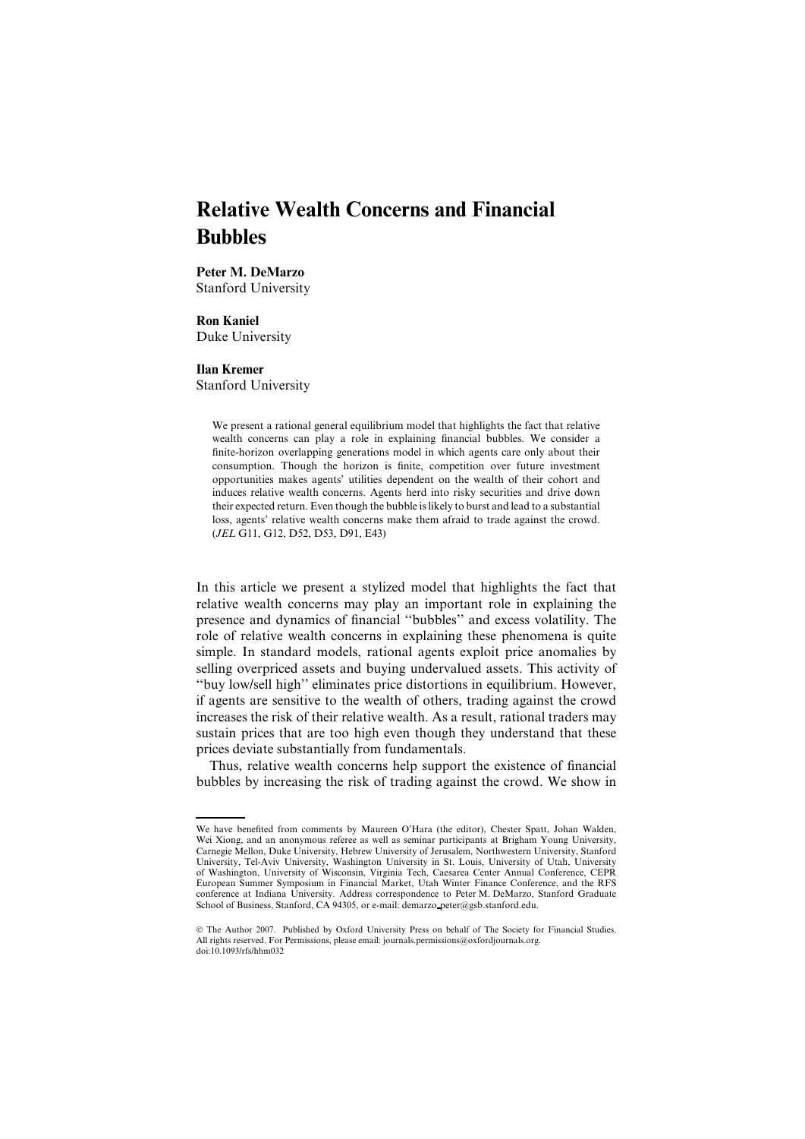# **Relative Wealth Concerns and Financial Bubbles**

### **Peter M. DeMarzo** Stanford University

### **Ron Kaniel**

Duke University

## **Ilan Kremer**

Stanford University

We present a rational general equilibrium model that highlights the fact that relative wealth concerns can play a role in explaining financial bubbles. We consider a finite-horizon overlapping generations model in which agents care only about their consumption. Though the horizon is finite, competition over future investment opportunities makes agents' utilities dependent on the wealth of their cohort and induces relative wealth concerns. Agents herd into risky securities and drive down their expected return. Even though the bubble is likely to burst and lead to a substantial loss, agents' relative wealth concerns make them afraid to trade against the crowd. (*JEL* G11, G12, D52, D53, D91, E43)

In this article we present a stylized model that highlights the fact that relative wealth concerns may play an important role in explaining the presence and dynamics of financial ''bubbles'' and excess volatility. The role of relative wealth concerns in explaining these phenomena is quite simple. In standard models, rational agents exploit price anomalies by selling overpriced assets and buying undervalued assets. This activity of ''buy low/sell high'' eliminates price distortions in equilibrium. However, if agents are sensitive to the wealth of others, trading against the crowd increases the risk of their relative wealth. As a result, rational traders may sustain prices that are too high even though they understand that these prices deviate substantially from fundamentals.

Thus, relative wealth concerns help support the existence of financial bubbles by increasing the risk of trading against the crowd. We show in

We have benefited from comments by Maureen O'Hara (the editor), Chester Spatt, Johan Walden, Wei Xiong, and an anonymous referee as well as seminar participants at Brigham Young University, Carnegie Mellon, Duke University, Hebrew University of Jerusalem, Northwestern University, Stanford University, Tel-Aviv University, Washington University in St. Louis, University of Utah, University of Washington, University of Wisconsin, Virginia Tech, Caesarea Center Annual Conference, CEPR European Summer Symposium in Financial Market, Utah Winter Finance Conference, and the RFS conference at Indiana University. Address correspondence to Peter M. DeMarzo, Stanford Graduate School of Business, Stanford, CA 94305, or e-mail: demarzo-peter@gsb.stanford.edu.

<sup>©</sup> The Author 2007. Published by Oxford University Press on behalf of The Society for Financial Studies. All rights reserved. For Permissions, please email: journals.permissions@oxfordjournals.org. doi:10.1093/rfs/hhm032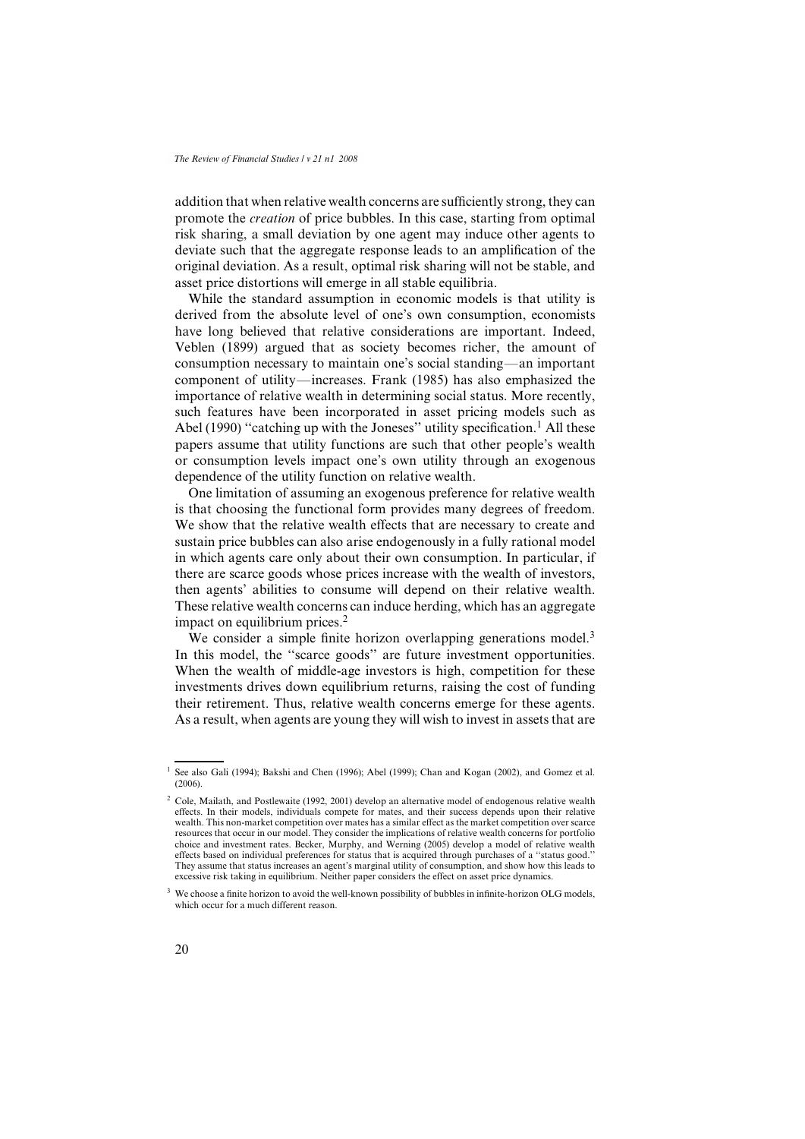addition that when relative wealth concerns are sufficiently strong, they can promote the *creation* of price bubbles. In this case, starting from optimal risk sharing, a small deviation by one agent may induce other agents to deviate such that the aggregate response leads to an amplification of the original deviation. As a result, optimal risk sharing will not be stable, and asset price distortions will emerge in all stable equilibria.

While the standard assumption in economic models is that utility is derived from the absolute level of one's own consumption, economists have long believed that relative considerations are important. Indeed, Veblen (1899) argued that as society becomes richer, the amount of consumption necessary to maintain one's social standing—an important component of utility—increases. Frank (1985) has also emphasized the importance of relative wealth in determining social status. More recently, such features have been incorporated in asset pricing models such as Abel (1990) "catching up with the Joneses" utility specification.<sup>1</sup> All these papers assume that utility functions are such that other people's wealth or consumption levels impact one's own utility through an exogenous dependence of the utility function on relative wealth.

One limitation of assuming an exogenous preference for relative wealth is that choosing the functional form provides many degrees of freedom. We show that the relative wealth effects that are necessary to create and sustain price bubbles can also arise endogenously in a fully rational model in which agents care only about their own consumption. In particular, if there are scarce goods whose prices increase with the wealth of investors, then agents' abilities to consume will depend on their relative wealth. These relative wealth concerns can induce herding, which has an aggregate impact on equilibrium prices. $<sup>2</sup>$ </sup>

We consider a simple finite horizon overlapping generations model.<sup>3</sup> In this model, the ''scarce goods'' are future investment opportunities. When the wealth of middle-age investors is high, competition for these investments drives down equilibrium returns, raising the cost of funding their retirement. Thus, relative wealth concerns emerge for these agents. As a result, when agents are young they will wish to invest in assets that are

<sup>&</sup>lt;sup>1</sup> See also Gali (1994); Bakshi and Chen (1996); Abel (1999); Chan and Kogan (2002), and Gomez et al. (2006).

 $2^2$  Cole, Mailath, and Postlewaite (1992, 2001) develop an alternative model of endogenous relative wealth effects. In their models, individuals compete for mates, and their success depends upon their relative wealth. This non-market competition over mates has a similar effect as the market competition over scarce resources that occur in our model. They consider the implications of relative wealth concerns for portfolio choice and investment rates. Becker, Murphy, and Werning (2005) develop a model of relative wealth effects based on individual preferences for status that is acquired through purchases of a ''status good.'' They assume that status increases an agent's marginal utility of consumption, and show how this leads to excessive risk taking in equilibrium. Neither paper considers the effect on asset price dynamics.

<sup>&</sup>lt;sup>3</sup> We choose a finite horizon to avoid the well-known possibility of bubbles in infinite-horizon OLG models, which occur for a much different reason.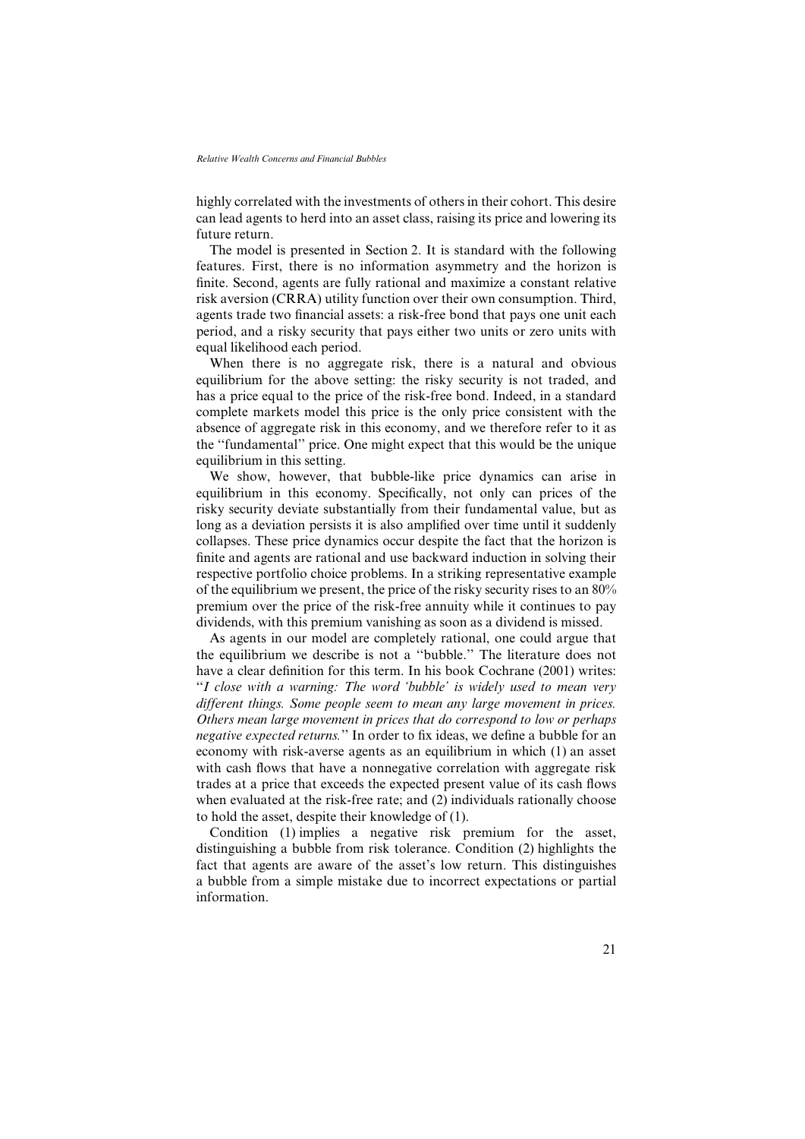highly correlated with the investments of others in their cohort. This desire can lead agents to herd into an asset class, raising its price and lowering its future return.

The model is presented in Section 2. It is standard with the following features. First, there is no information asymmetry and the horizon is finite. Second, agents are fully rational and maximize a constant relative risk aversion (CRRA) utility function over their own consumption. Third, agents trade two financial assets: a risk-free bond that pays one unit each period, and a risky security that pays either two units or zero units with equal likelihood each period.

When there is no aggregate risk, there is a natural and obvious equilibrium for the above setting: the risky security is not traded, and has a price equal to the price of the risk-free bond. Indeed, in a standard complete markets model this price is the only price consistent with the absence of aggregate risk in this economy, and we therefore refer to it as the ''fundamental'' price. One might expect that this would be the unique equilibrium in this setting.

We show, however, that bubble-like price dynamics can arise in equilibrium in this economy. Specifically, not only can prices of the risky security deviate substantially from their fundamental value, but as long as a deviation persists it is also amplified over time until it suddenly collapses. These price dynamics occur despite the fact that the horizon is finite and agents are rational and use backward induction in solving their respective portfolio choice problems. In a striking representative example of the equilibrium we present, the price of the risky security rises to an 80% premium over the price of the risk-free annuity while it continues to pay dividends, with this premium vanishing as soon as a dividend is missed.

As agents in our model are completely rational, one could argue that the equilibrium we describe is not a ''bubble.'' The literature does not have a clear definition for this term. In his book Cochrane (2001) writes: ''*I close with a warning: The word 'bubble' is widely used to mean very different things. Some people seem to mean any large movement in prices. Others mean large movement in prices that do correspond to low or perhaps negative expected returns.*'' In order to fix ideas, we define a bubble for an economy with risk-averse agents as an equilibrium in which (1) an asset with cash flows that have a nonnegative correlation with aggregate risk trades at a price that exceeds the expected present value of its cash flows when evaluated at the risk-free rate; and (2) individuals rationally choose to hold the asset, despite their knowledge of (1).

Condition (1) implies a negative risk premium for the asset, distinguishing a bubble from risk tolerance. Condition (2) highlights the fact that agents are aware of the asset's low return. This distinguishes a bubble from a simple mistake due to incorrect expectations or partial information.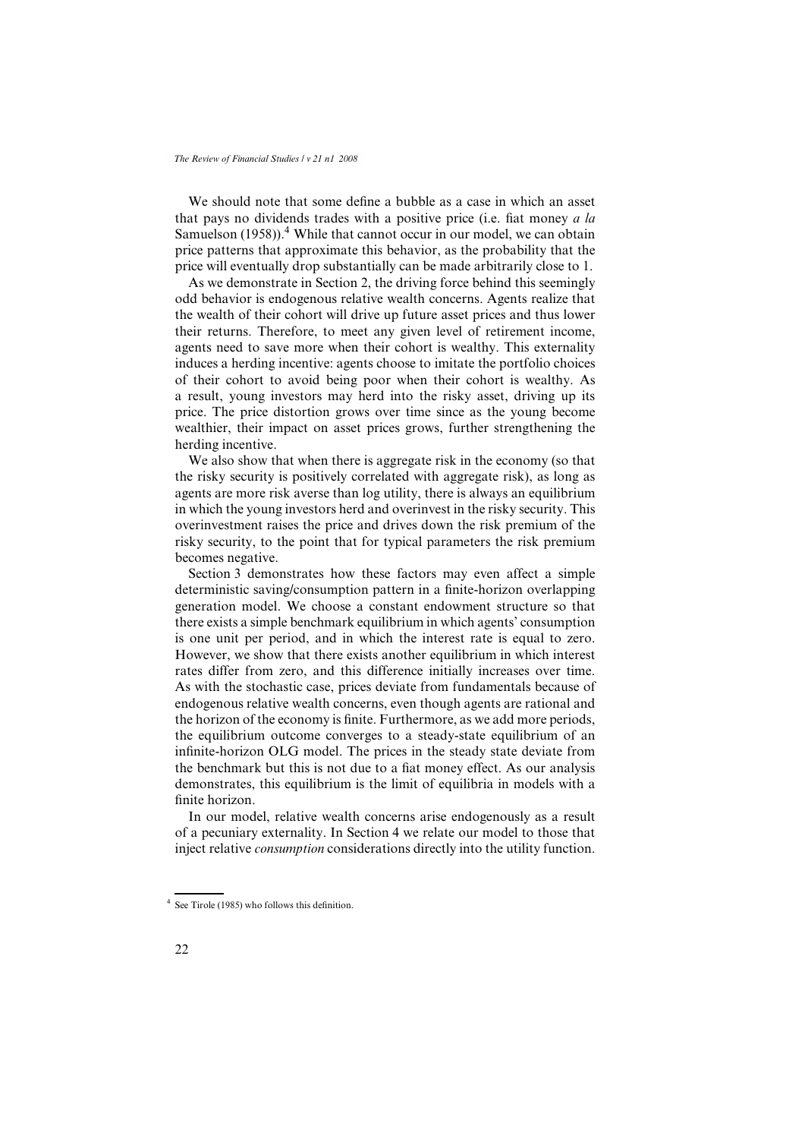We should note that some define a bubble as a case in which an asset that pays no dividends trades with a positive price (i.e. fiat money *a la* Samuelson  $(1958)$ <sup>4</sup>. While that cannot occur in our model, we can obtain price patterns that approximate this behavior, as the probability that the price will eventually drop substantially can be made arbitrarily close to 1.

As we demonstrate in Section 2, the driving force behind this seemingly odd behavior is endogenous relative wealth concerns. Agents realize that the wealth of their cohort will drive up future asset prices and thus lower their returns. Therefore, to meet any given level of retirement income, agents need to save more when their cohort is wealthy. This externality induces a herding incentive: agents choose to imitate the portfolio choices of their cohort to avoid being poor when their cohort is wealthy. As a result, young investors may herd into the risky asset, driving up its price. The price distortion grows over time since as the young become wealthier, their impact on asset prices grows, further strengthening the herding incentive.

We also show that when there is aggregate risk in the economy (so that the risky security is positively correlated with aggregate risk), as long as agents are more risk averse than log utility, there is always an equilibrium in which the young investors herd and overinvest in the risky security. This overinvestment raises the price and drives down the risk premium of the risky security, to the point that for typical parameters the risk premium becomes negative.

Section 3 demonstrates how these factors may even affect a simple deterministic saving/consumption pattern in a finite-horizon overlapping generation model. We choose a constant endowment structure so that there exists a simple benchmark equilibrium in which agents' consumption is one unit per period, and in which the interest rate is equal to zero. However, we show that there exists another equilibrium in which interest rates differ from zero, and this difference initially increases over time. As with the stochastic case, prices deviate from fundamentals because of endogenous relative wealth concerns, even though agents are rational and the horizon of the economy is finite. Furthermore, as we add more periods, the equilibrium outcome converges to a steady-state equilibrium of an infinite-horizon OLG model. The prices in the steady state deviate from the benchmark but this is not due to a fiat money effect. As our analysis demonstrates, this equilibrium is the limit of equilibria in models with a finite horizon.

In our model, relative wealth concerns arise endogenously as a result of a pecuniary externality. In Section 4 we relate our model to those that inject relative *consumption* considerations directly into the utility function.

<sup>4</sup> See Tirole (1985) who follows this definition.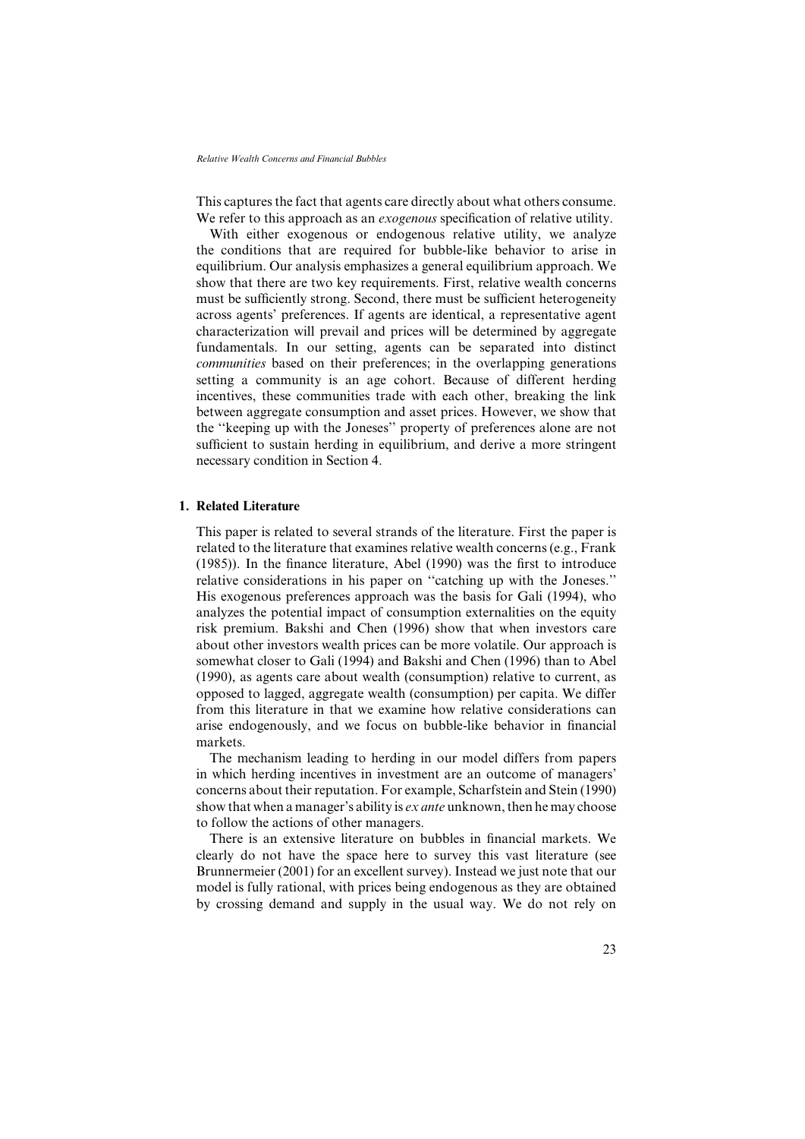This captures the fact that agents care directly about what others consume. We refer to this approach as an *exogenous* specification of relative utility.

With either exogenous or endogenous relative utility, we analyze the conditions that are required for bubble-like behavior to arise in equilibrium. Our analysis emphasizes a general equilibrium approach. We show that there are two key requirements. First, relative wealth concerns must be sufficiently strong. Second, there must be sufficient heterogeneity across agents' preferences. If agents are identical, a representative agent characterization will prevail and prices will be determined by aggregate fundamentals. In our setting, agents can be separated into distinct *communities* based on their preferences; in the overlapping generations setting a community is an age cohort. Because of different herding incentives, these communities trade with each other, breaking the link between aggregate consumption and asset prices. However, we show that the ''keeping up with the Joneses'' property of preferences alone are not sufficient to sustain herding in equilibrium, and derive a more stringent necessary condition in Section 4.

### **1. Related Literature**

This paper is related to several strands of the literature. First the paper is related to the literature that examines relative wealth concerns (e.g., Frank (1985)). In the finance literature, Abel (1990) was the first to introduce relative considerations in his paper on ''catching up with the Joneses.'' His exogenous preferences approach was the basis for Gali (1994), who analyzes the potential impact of consumption externalities on the equity risk premium. Bakshi and Chen (1996) show that when investors care about other investors wealth prices can be more volatile. Our approach is somewhat closer to Gali (1994) and Bakshi and Chen (1996) than to Abel (1990), as agents care about wealth (consumption) relative to current, as opposed to lagged, aggregate wealth (consumption) per capita. We differ from this literature in that we examine how relative considerations can arise endogenously, and we focus on bubble-like behavior in financial markets.

The mechanism leading to herding in our model differs from papers in which herding incentives in investment are an outcome of managers' concerns about their reputation. For example, Scharfstein and Stein (1990) show that when a manager's ability is *ex ante* unknown, then he may choose to follow the actions of other managers.

There is an extensive literature on bubbles in financial markets. We clearly do not have the space here to survey this vast literature (see Brunnermeier (2001) for an excellent survey). Instead we just note that our model is fully rational, with prices being endogenous as they are obtained by crossing demand and supply in the usual way. We do not rely on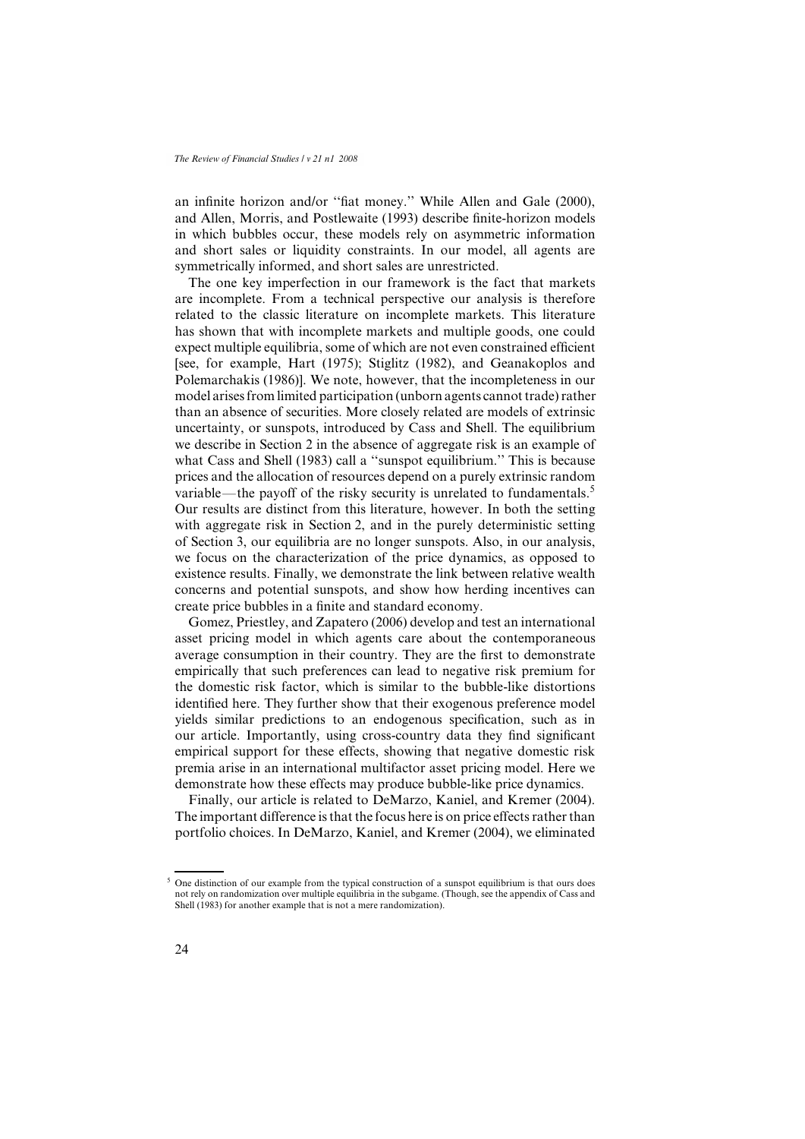an infinite horizon and/or ''fiat money.'' While Allen and Gale (2000), and Allen, Morris, and Postlewaite (1993) describe finite-horizon models in which bubbles occur, these models rely on asymmetric information and short sales or liquidity constraints. In our model, all agents are symmetrically informed, and short sales are unrestricted.

The one key imperfection in our framework is the fact that markets are incomplete. From a technical perspective our analysis is therefore related to the classic literature on incomplete markets. This literature has shown that with incomplete markets and multiple goods, one could expect multiple equilibria, some of which are not even constrained efficient [see, for example, Hart (1975); Stiglitz (1982), and Geanakoplos and Polemarchakis (1986)]. We note, however, that the incompleteness in our model arises from limited participation (unborn agents cannot trade) rather than an absence of securities. More closely related are models of extrinsic uncertainty, or sunspots, introduced by Cass and Shell. The equilibrium we describe in Section 2 in the absence of aggregate risk is an example of what Cass and Shell (1983) call a "sunspot equilibrium." This is because prices and the allocation of resources depend on a purely extrinsic random variable—the payoff of the risky security is unrelated to fundamentals.<sup>5</sup> Our results are distinct from this literature, however. In both the setting with aggregate risk in Section 2, and in the purely deterministic setting of Section 3, our equilibria are no longer sunspots. Also, in our analysis, we focus on the characterization of the price dynamics, as opposed to existence results. Finally, we demonstrate the link between relative wealth concerns and potential sunspots, and show how herding incentives can create price bubbles in a finite and standard economy.

Gomez, Priestley, and Zapatero (2006) develop and test an international asset pricing model in which agents care about the contemporaneous average consumption in their country. They are the first to demonstrate empirically that such preferences can lead to negative risk premium for the domestic risk factor, which is similar to the bubble-like distortions identified here. They further show that their exogenous preference model yields similar predictions to an endogenous specification, such as in our article. Importantly, using cross-country data they find significant empirical support for these effects, showing that negative domestic risk premia arise in an international multifactor asset pricing model. Here we demonstrate how these effects may produce bubble-like price dynamics.

Finally, our article is related to DeMarzo, Kaniel, and Kremer (2004). The important difference is that the focus here is on price effects rather than portfolio choices. In DeMarzo, Kaniel, and Kremer (2004), we eliminated

<sup>5</sup> One distinction of our example from the typical construction of a sunspot equilibrium is that ours does not rely on randomization over multiple equilibria in the subgame. (Though, see the appendix of Cass and Shell (1983) for another example that is not a mere randomization).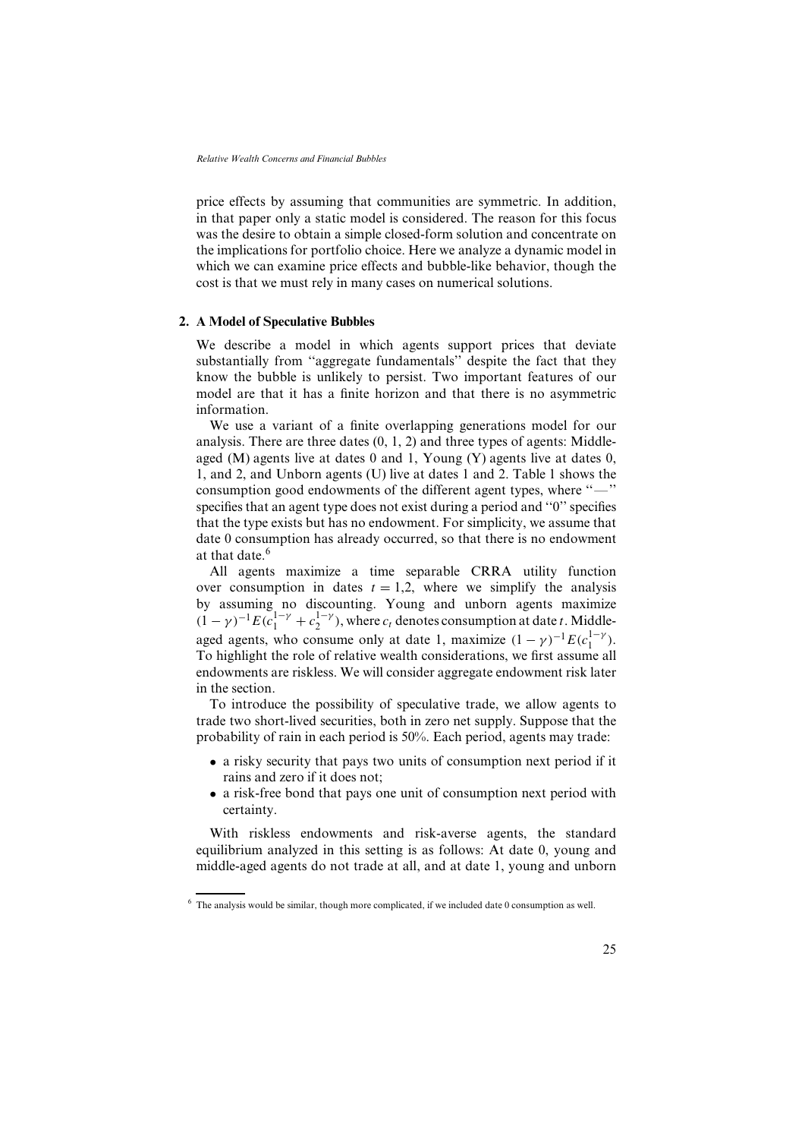price effects by assuming that communities are symmetric. In addition, in that paper only a static model is considered. The reason for this focus was the desire to obtain a simple closed-form solution and concentrate on the implications for portfolio choice. Here we analyze a dynamic model in which we can examine price effects and bubble-like behavior, though the cost is that we must rely in many cases on numerical solutions.

### **2. A Model of Speculative Bubbles**

We describe a model in which agents support prices that deviate substantially from ''aggregate fundamentals'' despite the fact that they know the bubble is unlikely to persist. Two important features of our model are that it has a finite horizon and that there is no asymmetric information.

We use a variant of a finite overlapping generations model for our analysis. There are three dates (0, 1, 2) and three types of agents: Middleaged (M) agents live at dates 0 and 1, Young (Y) agents live at dates 0, 1, and 2, and Unborn agents (U) live at dates 1 and 2. Table 1 shows the consumption good endowments of the different agent types, where ''—'' specifies that an agent type does not exist during a period and ''0'' specifies that the type exists but has no endowment. For simplicity, we assume that date 0 consumption has already occurred, so that there is no endowment at that date.<sup>6</sup>

All agents maximize a time separable CRRA utility function over consumption in dates  $t = 1,2$ , where we simplify the analysis by assuming no discounting. Young and unborn agents maximize  $(1 - \gamma)^{-1} E(c_1^{1-\gamma} + c_2^{1-\gamma})$ , where  $c_t$  denotes consumption at date *t*. Middleaged agents, who consume only at date 1, maximize  $(1 - \gamma)^{-1} E(c_1^{1-\gamma})$ . To highlight the role of relative wealth considerations, we first assume all endowments are riskless. We will consider aggregate endowment risk later in the section.

To introduce the possibility of speculative trade, we allow agents to trade two short-lived securities, both in zero net supply. Suppose that the probability of rain in each period is 50%. Each period, agents may trade:

- a risky security that pays two units of consumption next period if it rains and zero if it does not;
- a risk-free bond that pays one unit of consumption next period with certainty.

With riskless endowments and risk-averse agents, the standard equilibrium analyzed in this setting is as follows: At date 0, young and middle-aged agents do not trade at all, and at date 1, young and unborn

<sup>6</sup> The analysis would be similar, though more complicated, if we included date 0 consumption as well.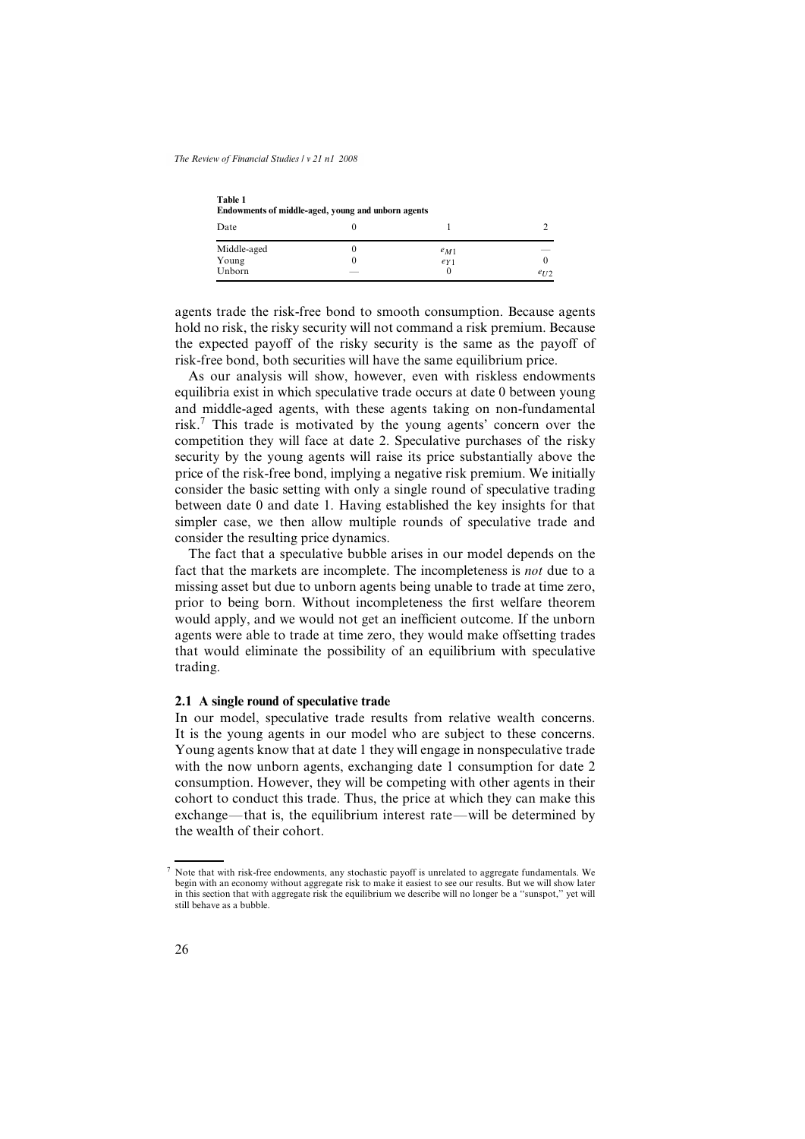| Endowments of middle agen, young and unborn agents |              |                      |                |  |  |  |  |
|----------------------------------------------------|--------------|----------------------|----------------|--|--|--|--|
| Date                                               |              |                      |                |  |  |  |  |
| Middle-aged<br>Young<br>Unborn                     | U<br>O<br>__ | $e_{M1}$<br>$e_{Y1}$ | __<br>$e_{U2}$ |  |  |  |  |

**Table 1 Endowments of middle-aged, young and unborn agents**

agents trade the risk-free bond to smooth consumption. Because agents hold no risk, the risky security will not command a risk premium. Because the expected payoff of the risky security is the same as the payoff of risk-free bond, both securities will have the same equilibrium price.

As our analysis will show, however, even with riskless endowments equilibria exist in which speculative trade occurs at date 0 between young and middle-aged agents, with these agents taking on non-fundamental risk.<sup>7</sup> This trade is motivated by the young agents' concern over the competition they will face at date 2. Speculative purchases of the risky security by the young agents will raise its price substantially above the price of the risk-free bond, implying a negative risk premium. We initially consider the basic setting with only a single round of speculative trading between date 0 and date 1. Having established the key insights for that simpler case, we then allow multiple rounds of speculative trade and consider the resulting price dynamics.

The fact that a speculative bubble arises in our model depends on the fact that the markets are incomplete. The incompleteness is *not* due to a missing asset but due to unborn agents being unable to trade at time zero, prior to being born. Without incompleteness the first welfare theorem would apply, and we would not get an inefficient outcome. If the unborn agents were able to trade at time zero, they would make offsetting trades that would eliminate the possibility of an equilibrium with speculative trading.

#### **2.1 A single round of speculative trade**

In our model, speculative trade results from relative wealth concerns. It is the young agents in our model who are subject to these concerns. Young agents know that at date 1 they will engage in nonspeculative trade with the now unborn agents, exchanging date 1 consumption for date 2 consumption. However, they will be competing with other agents in their cohort to conduct this trade. Thus, the price at which they can make this exchange— that is, the equilibrium interest rate—will be determined by the wealth of their cohort.

 $7$  Note that with risk-free endowments, any stochastic payoff is unrelated to aggregate fundamentals. We begin with an economy without aggregate risk to make it easiest to see our results. But we will show later in this section that with aggregate risk the equilibrium we describe will no longer be a ''sunspot,'' yet will still behave as a bubble.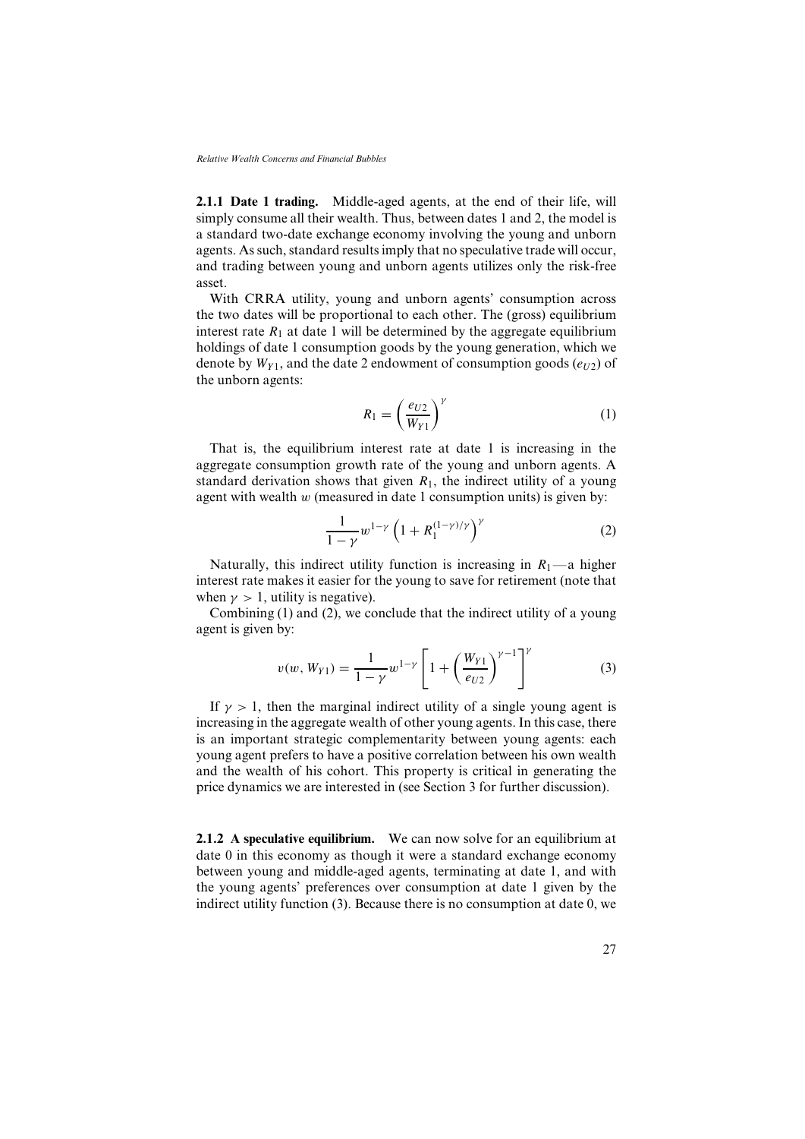**2.1.1 Date 1 trading.** Middle-aged agents, at the end of their life, will simply consume all their wealth. Thus, between dates 1 and 2, the model is a standard two-date exchange economy involving the young and unborn agents. As such, standard results imply that no speculative trade will occur, and trading between young and unborn agents utilizes only the risk-free asset.

With CRRA utility, young and unborn agents' consumption across the two dates will be proportional to each other. The (gross) equilibrium interest rate  $R_1$  at date 1 will be determined by the aggregate equilibrium holdings of date 1 consumption goods by the young generation, which we denote by  $W_{Y1}$ , and the date 2 endowment of consumption goods  $(e_{U2})$  of the unborn agents:

$$
R_1 = \left(\frac{e_{U2}}{W_{Y1}}\right)^{\gamma} \tag{1}
$$

That is, the equilibrium interest rate at date 1 is increasing in the aggregate consumption growth rate of the young and unborn agents. A standard derivation shows that given  $R_1$ , the indirect utility of a young agent with wealth *w* (measured in date 1 consumption units) is given by:

$$
\frac{1}{1-\gamma}w^{1-\gamma}\left(1+R_1^{(1-\gamma)/\gamma}\right)^{\gamma}
$$
 (2)

Naturally, this indirect utility function is increasing in  $R_1$ —a higher interest rate makes it easier for the young to save for retirement (note that when  $\gamma > 1$ , utility is negative).

Combining (1) and (2), we conclude that the indirect utility of a young agent is given by:

$$
v(w, W_{Y1}) = \frac{1}{1 - \gamma} w^{1 - \gamma} \left[ 1 + \left( \frac{W_{Y1}}{e_{U2}} \right)^{\gamma - 1} \right]^{\gamma}
$$
 (3)

If  $\gamma > 1$ , then the marginal indirect utility of a single young agent is increasing in the aggregate wealth of other young agents. In this case, there is an important strategic complementarity between young agents: each young agent prefers to have a positive correlation between his own wealth and the wealth of his cohort. This property is critical in generating the price dynamics we are interested in (see Section 3 for further discussion).

**2.1.2 A speculative equilibrium.** We can now solve for an equilibrium at date 0 in this economy as though it were a standard exchange economy between young and middle-aged agents, terminating at date 1, and with the young agents' preferences over consumption at date 1 given by the indirect utility function (3). Because there is no consumption at date 0, we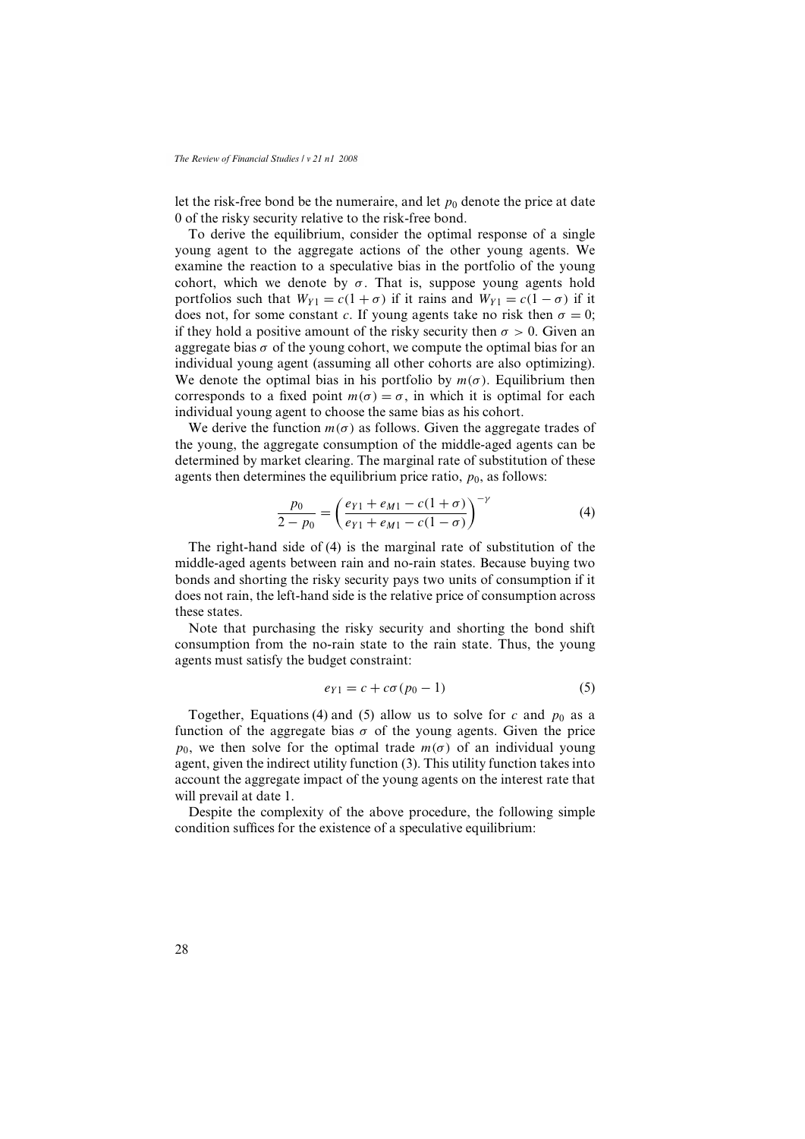let the risk-free bond be the numeraire, and let  $p_0$  denote the price at date 0 of the risky security relative to the risk-free bond.

To derive the equilibrium, consider the optimal response of a single young agent to the aggregate actions of the other young agents. We examine the reaction to a speculative bias in the portfolio of the young cohort, which we denote by  $\sigma$ . That is, suppose young agents hold portfolios such that  $W_{Y1} = c(1 + \sigma)$  if it rains and  $W_{Y1} = c(1 - \sigma)$  if it does not, for some constant *c*. If young agents take no risk then  $\sigma = 0$ ; if they hold a positive amount of the risky security then  $\sigma > 0$ . Given an aggregate bias  $\sigma$  of the young cohort, we compute the optimal bias for an individual young agent (assuming all other cohorts are also optimizing). We denote the optimal bias in his portfolio by  $m(\sigma)$ . Equilibrium then corresponds to a fixed point  $m(\sigma) = \sigma$ , in which it is optimal for each individual young agent to choose the same bias as his cohort.

We derive the function  $m(\sigma)$  as follows. Given the aggregate trades of the young, the aggregate consumption of the middle-aged agents can be determined by market clearing. The marginal rate of substitution of these agents then determines the equilibrium price ratio,  $p_0$ , as follows:

$$
\frac{p_0}{2 - p_0} = \left(\frac{e_{Y1} + e_{M1} - c(1 + \sigma)}{e_{Y1} + e_{M1} - c(1 - \sigma)}\right)^{-\gamma}
$$
(4)

The right-hand side of (4) is the marginal rate of substitution of the middle-aged agents between rain and no-rain states. Because buying two bonds and shorting the risky security pays two units of consumption if it does not rain, the left-hand side is the relative price of consumption across these states.

Note that purchasing the risky security and shorting the bond shift consumption from the no-rain state to the rain state. Thus, the young agents must satisfy the budget constraint:

$$
e_{Y1} = c + c\sigma(p_0 - 1) \tag{5}
$$

Together, Equations (4) and (5) allow us to solve for *c* and  $p_0$  as a function of the aggregate bias  $\sigma$  of the young agents. Given the price *p*<sub>0</sub>, we then solve for the optimal trade  $m(\sigma)$  of an individual young agent, given the indirect utility function (3). This utility function takes into account the aggregate impact of the young agents on the interest rate that will prevail at date 1.

Despite the complexity of the above procedure, the following simple condition suffices for the existence of a speculative equilibrium: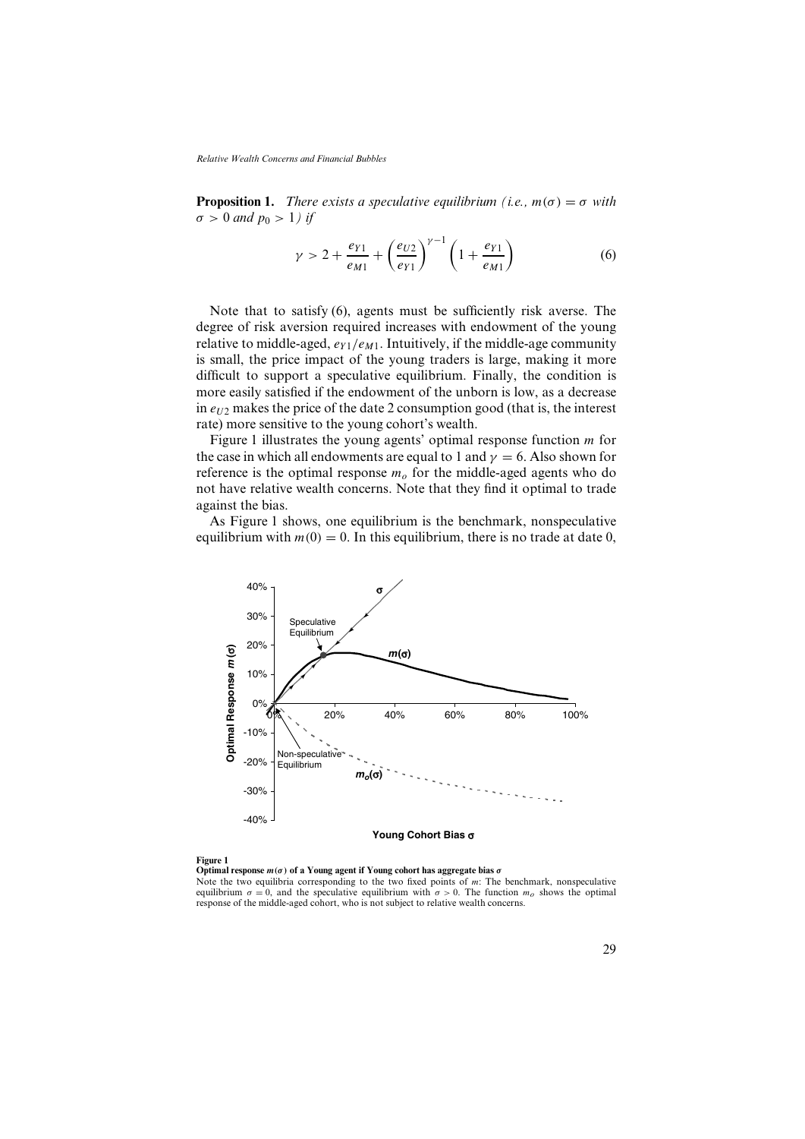**Proposition 1.** *There exists a speculative equilibrium (i.e.,*  $m(\sigma) = \sigma$  *with*  $\sigma > 0$  *and*  $p_0 > 1$ *)* if

$$
\gamma > 2 + \frac{e_{Y1}}{e_{M1}} + \left(\frac{e_{U2}}{e_{Y1}}\right)^{\gamma - 1} \left(1 + \frac{e_{Y1}}{e_{M1}}\right) \tag{6}
$$

Note that to satisfy (6), agents must be sufficiently risk averse. The degree of risk aversion required increases with endowment of the young relative to middle-aged,  $e_{Y1}/e_{M1}$ . Intuitively, if the middle-age community is small, the price impact of the young traders is large, making it more difficult to support a speculative equilibrium. Finally, the condition is more easily satisfied if the endowment of the unborn is low, as a decrease in  $e_{U2}$  makes the price of the date 2 consumption good (that is, the interest rate) more sensitive to the young cohort's wealth.

Figure 1 illustrates the young agents' optimal response function *m* for the case in which all endowments are equal to 1 and  $\gamma = 6$ . Also shown for reference is the optimal response  $m<sub>o</sub>$  for the middle-aged agents who do not have relative wealth concerns. Note that they find it optimal to trade against the bias.

As Figure 1 shows, one equilibrium is the benchmark, nonspeculative equilibrium with  $m(0) = 0$ . In this equilibrium, there is no trade at date 0,



#### **Figure 1**

**Optimal response** *m(σ )* **of a Young agent if Young cohort has aggregate bias** *σ*

Note the two equilibria corresponding to the two fixed points of *m*: The benchmark, nonspeculative equilibrium  $\sigma = 0$ , and the speculative equilibrium with  $\sigma > 0$ . The function  $m<sub>o</sub>$  shows the optimal response of the middle-aged cohort, who is not subject to relative wealth concerns.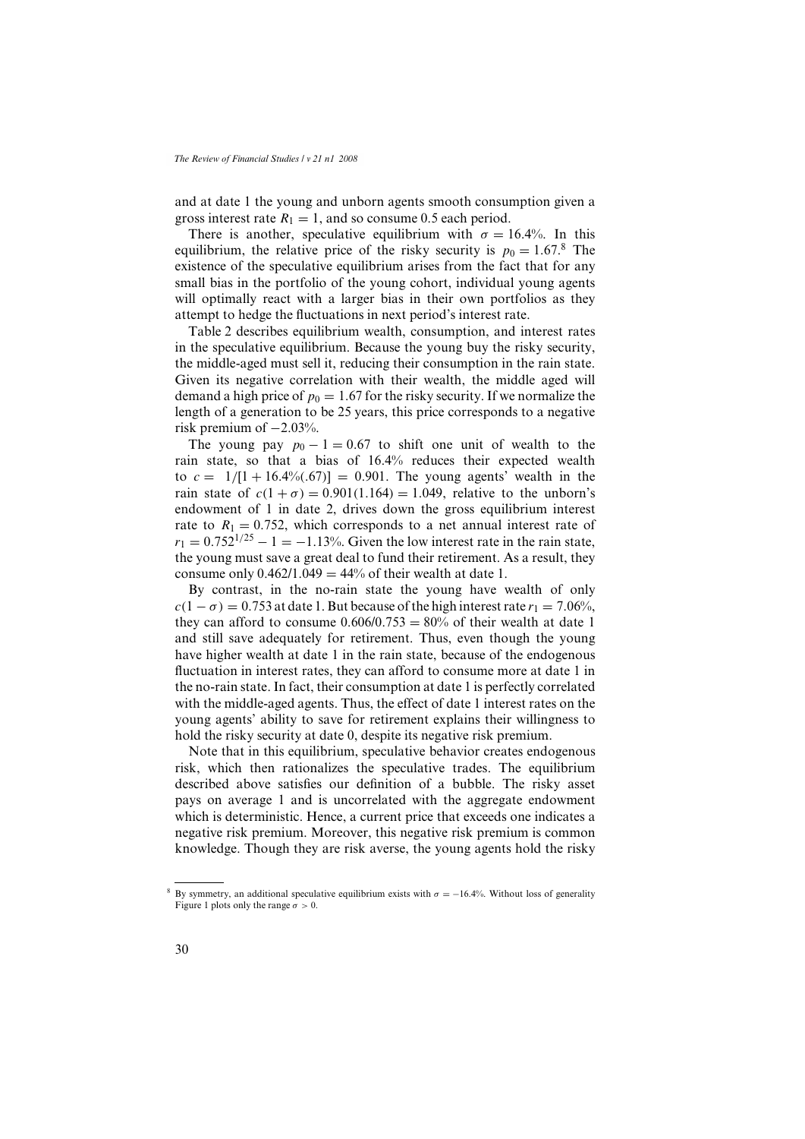and at date 1 the young and unborn agents smooth consumption given a gross interest rate  $R_1 = 1$ , and so consume 0.5 each period.

There is another, speculative equilibrium with  $\sigma = 16.4\%$ . In this equilibrium, the relative price of the risky security is  $p_0 = 1.67$ .<sup>8</sup> The existence of the speculative equilibrium arises from the fact that for any small bias in the portfolio of the young cohort, individual young agents will optimally react with a larger bias in their own portfolios as they attempt to hedge the fluctuations in next period's interest rate.

Table 2 describes equilibrium wealth, consumption, and interest rates in the speculative equilibrium. Because the young buy the risky security, the middle-aged must sell it, reducing their consumption in the rain state. Given its negative correlation with their wealth, the middle aged will demand a high price of  $p_0 = 1.67$  for the risky security. If we normalize the length of a generation to be 25 years, this price corresponds to a negative risk premium of  $-2.03\%$ .

The young pay  $p_0 - 1 = 0.67$  to shift one unit of wealth to the rain state, so that a bias of 16.4% reduces their expected wealth to  $c = 1/[1 + 16.4\%(67)] = 0.901$ . The young agents' wealth in the rain state of  $c(1 + \sigma) = 0.901(1.164) = 1.049$ , relative to the unborn's endowment of 1 in date 2, drives down the gross equilibrium interest rate to  $R_1 = 0.752$ , which corresponds to a net annual interest rate of  $r_1 = 0.752^{1/25} - 1 = -1.13\%$ . Given the low interest rate in the rain state, the young must save a great deal to fund their retirement. As a result, they consume only  $0.462/1.049 = 44\%$  of their wealth at date 1.

By contrast, in the no-rain state the young have wealth of only  $c(1 - \sigma) = 0.753$  at date 1. But because of the high interest rate  $r_1 = 7.06\%$ , they can afford to consume  $0.606/0.753 = 80\%$  of their wealth at date 1 and still save adequately for retirement. Thus, even though the young have higher wealth at date 1 in the rain state, because of the endogenous fluctuation in interest rates, they can afford to consume more at date 1 in the no-rain state. In fact, their consumption at date 1 is perfectly correlated with the middle-aged agents. Thus, the effect of date 1 interest rates on the young agents' ability to save for retirement explains their willingness to hold the risky security at date 0, despite its negative risk premium.

Note that in this equilibrium, speculative behavior creates endogenous risk, which then rationalizes the speculative trades. The equilibrium described above satisfies our definition of a bubble. The risky asset pays on average 1 and is uncorrelated with the aggregate endowment which is deterministic. Hence, a current price that exceeds one indicates a negative risk premium. Moreover, this negative risk premium is common knowledge. Though they are risk averse, the young agents hold the risky

By symmetry, an additional speculative equilibrium exists with  $\sigma = -16.4\%$ . Without loss of generality Figure 1 plots only the range  $\sigma > 0$ .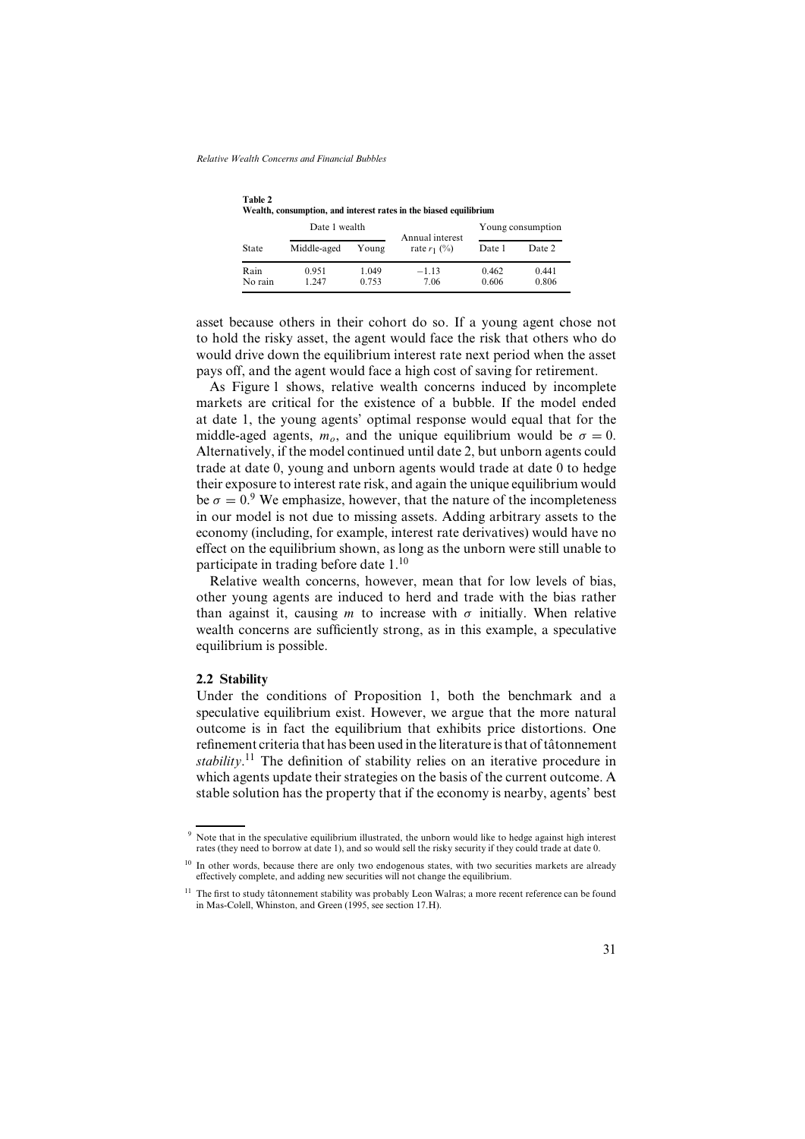| " verified computerprioril enter mitte cot intege in the pressure equinibilities |                |                |                 |                   |                |  |  |  |  |
|----------------------------------------------------------------------------------|----------------|----------------|-----------------|-------------------|----------------|--|--|--|--|
|                                                                                  | Date 1 wealth  |                | Annual interest | Young consumption |                |  |  |  |  |
| <b>State</b>                                                                     | Middle-aged    | Young          | rate $r_1$ (%)  | Date 1            | Date 2         |  |  |  |  |
| Rain<br>No rain                                                                  | 0.951<br>1.247 | 1.049<br>0.753 | $-1.13$<br>7.06 | 0.462<br>0.606    | 0.441<br>0.806 |  |  |  |  |

**Table 2 Wealth, consumption, and interest rates in the biased equilibrium**

asset because others in their cohort do so. If a young agent chose not to hold the risky asset, the agent would face the risk that others who do would drive down the equilibrium interest rate next period when the asset pays off, and the agent would face a high cost of saving for retirement.

As Figure 1 shows, relative wealth concerns induced by incomplete markets are critical for the existence of a bubble. If the model ended at date 1, the young agents' optimal response would equal that for the middle-aged agents,  $m_0$ , and the unique equilibrium would be  $\sigma = 0$ . Alternatively, if the model continued until date 2, but unborn agents could trade at date 0, young and unborn agents would trade at date 0 to hedge their exposure to interest rate risk, and again the unique equilibrium would be  $\sigma = 0.9$  We emphasize, however, that the nature of the incompleteness in our model is not due to missing assets. Adding arbitrary assets to the economy (including, for example, interest rate derivatives) would have no effect on the equilibrium shown, as long as the unborn were still unable to participate in trading before date  $1<sup>10</sup>$ 

Relative wealth concerns, however, mean that for low levels of bias, other young agents are induced to herd and trade with the bias rather than against it, causing *m* to increase with  $\sigma$  initially. When relative wealth concerns are sufficiently strong, as in this example, a speculative equilibrium is possible.

### **2.2 Stability**

Under the conditions of Proposition 1, both the benchmark and a speculative equilibrium exist. However, we argue that the more natural outcome is in fact the equilibrium that exhibits price distortions. One refinement criteria that has been used in the literature is that of tâtonnement *stability*. <sup>11</sup> The definition of stability relies on an iterative procedure in which agents update their strategies on the basis of the current outcome. A stable solution has the property that if the economy is nearby, agents' best

Note that in the speculative equilibrium illustrated, the unborn would like to hedge against high interest rates (they need to borrow at date 1), and so would sell the risky security if they could trade at date 0.

<sup>&</sup>lt;sup>10</sup> In other words, because there are only two endogenous states, with two securities markets are already effectively complete, and adding new securities will not change the equilibrium.

<sup>&</sup>lt;sup>11</sup> The first to study tâtonnement stability was probably Leon Walras; a more recent reference can be found in Mas-Colell, Whinston, and Green (1995, see section 17.H).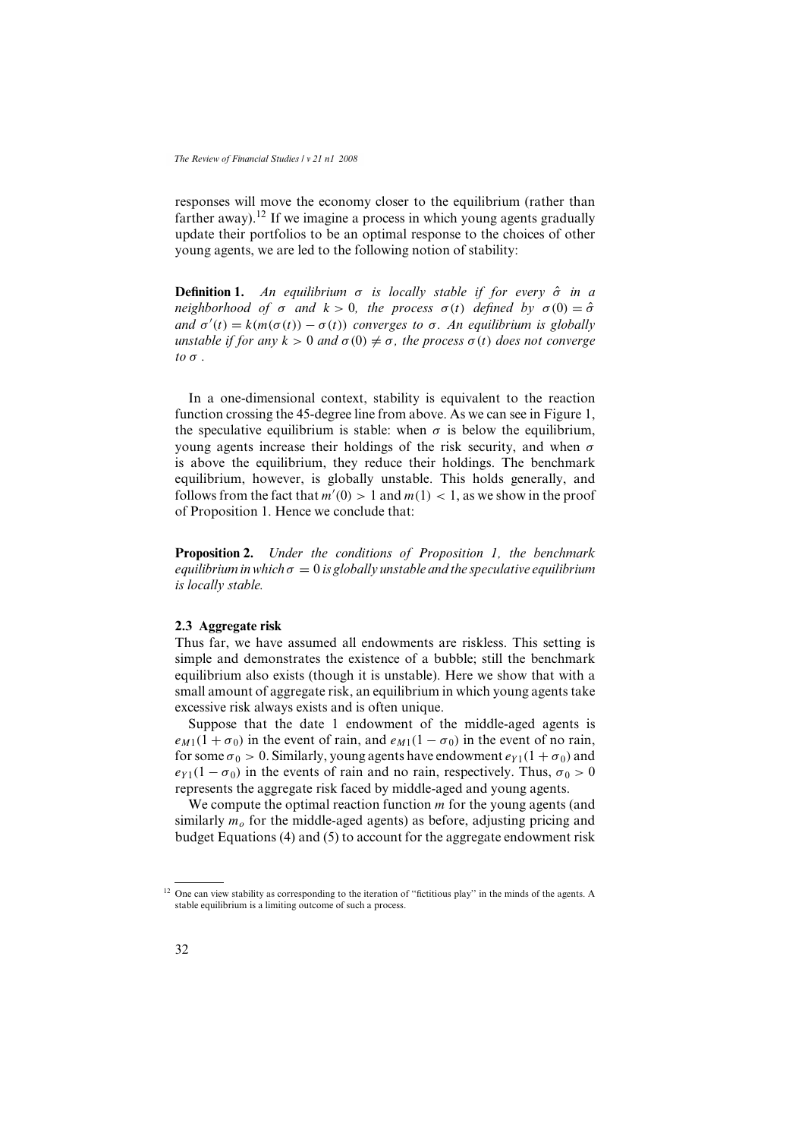responses will move the economy closer to the equilibrium (rather than farther away).<sup>12</sup> If we imagine a process in which young agents gradually update their portfolios to be an optimal response to the choices of other young agents, we are led to the following notion of stability:

**Definition 1.** *An equilibrium*  $\sigma$  *is locally stable if for every*  $\hat{\sigma}$  *in a neighborhood of*  $\sigma$  *and*  $k > 0$ , *the process*  $\sigma(t)$  *defined by*  $\sigma(0) = \hat{\sigma}$  $and \sigma'(t) = k(m(\sigma(t)) - \sigma(t))$  *converges to*  $\sigma$ *. An equilibrium is globally unstable if for any*  $k > 0$  *and*  $\sigma(0) \neq \sigma$ , *the process*  $\sigma(t)$  *does not converge*  $to \sigma$ .

In a one-dimensional context, stability is equivalent to the reaction function crossing the 45-degree line from above. As we can see in Figure 1, the speculative equilibrium is stable: when  $\sigma$  is below the equilibrium, young agents increase their holdings of the risk security, and when *σ* is above the equilibrium, they reduce their holdings. The benchmark equilibrium, however, is globally unstable. This holds generally, and follows from the fact that  $m'(0) > 1$  and  $m(1) < 1$ , as we show in the proof of Proposition 1. Hence we conclude that:

**Proposition 2.** *Under the conditions of Proposition 1, the benchmark*  $equilibrium$  *in which*  $\sigma = 0$  *is globally unstable and the speculative equilibrium is locally stable.*

### **2.3 Aggregate risk**

Thus far, we have assumed all endowments are riskless. This setting is simple and demonstrates the existence of a bubble; still the benchmark equilibrium also exists (though it is unstable). Here we show that with a small amount of aggregate risk, an equilibrium in which young agents take excessive risk always exists and is often unique.

Suppose that the date 1 endowment of the middle-aged agents is  $e_{M1}(1 + \sigma_0)$  in the event of rain, and  $e_{M1}(1 - \sigma_0)$  in the event of no rain, for some  $\sigma_0 > 0$ . Similarly, young agents have endowment  $e_{Y1}(1 + \sigma_0)$  and  $e_{Y1}(1 - \sigma_0)$  in the events of rain and no rain, respectively. Thus,  $\sigma_0 > 0$ represents the aggregate risk faced by middle-aged and young agents.

We compute the optimal reaction function *m* for the young agents (and similarly  $m<sub>o</sub>$  for the middle-aged agents) as before, adjusting pricing and budget Equations (4) and (5) to account for the aggregate endowment risk

<sup>&</sup>lt;sup>12</sup> One can view stability as corresponding to the iteration of "fictitious play" in the minds of the agents. A stable equilibrium is a limiting outcome of such a process.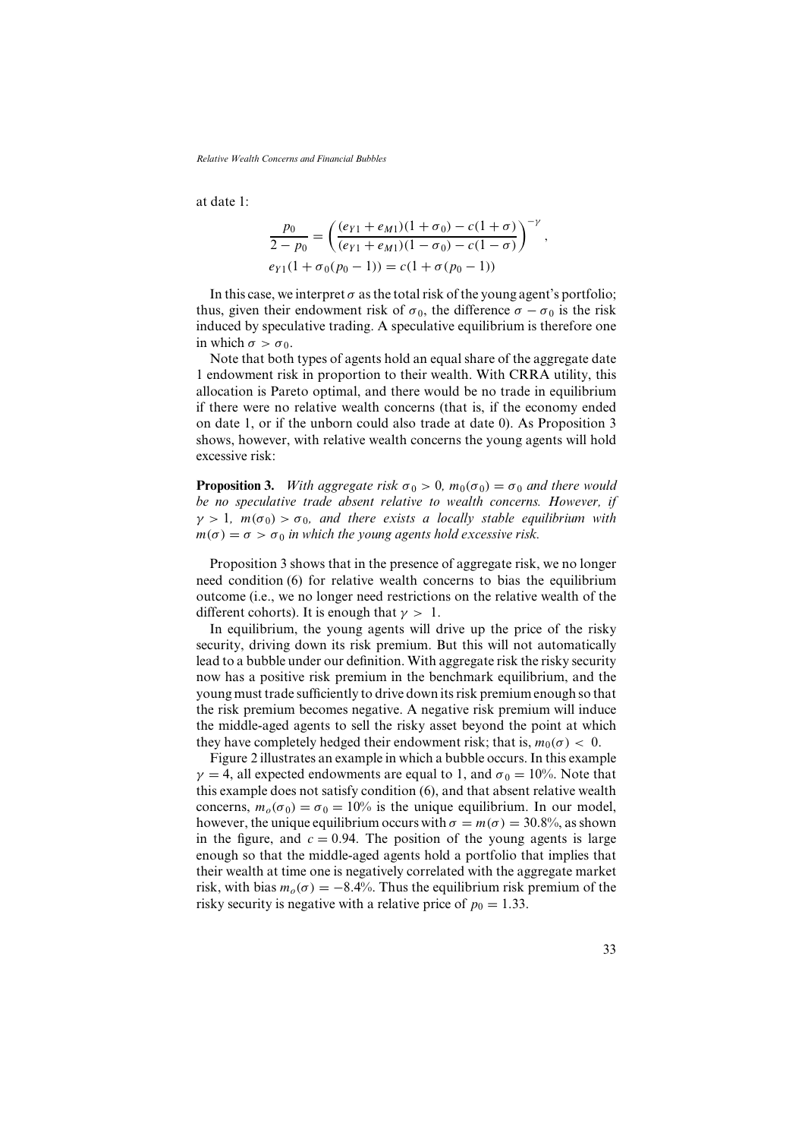at date 1:

$$
\frac{p_0}{2 - p_0} = \left(\frac{(e_{Y1} + e_{M1})(1 + \sigma_0) - c(1 + \sigma)}{(e_{Y1} + e_{M1})(1 - \sigma_0) - c(1 - \sigma)}\right)^{-\gamma},
$$
  

$$
e_{Y1}(1 + \sigma_0(p_0 - 1)) = c(1 + \sigma(p_0 - 1))
$$

In this case, we interpret  $\sigma$  as the total risk of the young agent's portfolio; thus, given their endowment risk of  $\sigma_0$ , the difference  $\sigma - \sigma_0$  is the risk induced by speculative trading. A speculative equilibrium is therefore one in which  $\sigma > \sigma_0$ .

Note that both types of agents hold an equal share of the aggregate date 1 endowment risk in proportion to their wealth. With CRRA utility, this allocation is Pareto optimal, and there would be no trade in equilibrium if there were no relative wealth concerns (that is, if the economy ended on date 1, or if the unborn could also trade at date 0). As Proposition 3 shows, however, with relative wealth concerns the young agents will hold excessive risk:

**Proposition 3.** *With aggregate risk*  $\sigma_0 > 0$ ,  $m_0(\sigma_0) = \sigma_0$  *and there would be no speculative trade absent relative to wealth concerns. However, if*  $\gamma > 1$ ,  $m(\sigma_0) > \sigma_0$ , and there exists a locally stable equilibrium with  $m(\sigma) = \sigma > \sigma_0$  *in which the young agents hold excessive risk.* 

Proposition 3 shows that in the presence of aggregate risk, we no longer need condition (6) for relative wealth concerns to bias the equilibrium outcome (i.e., we no longer need restrictions on the relative wealth of the different cohorts). It is enough that  $\gamma > 1$ .

In equilibrium, the young agents will drive up the price of the risky security, driving down its risk premium. But this will not automatically lead to a bubble under our definition. With aggregate risk the risky security now has a positive risk premium in the benchmark equilibrium, and the young must trade sufficiently to drive down its risk premium enough so that the risk premium becomes negative. A negative risk premium will induce the middle-aged agents to sell the risky asset beyond the point at which they have completely hedged their endowment risk; that is,  $m_0(\sigma) < 0$ .

Figure 2 illustrates an example in which a bubble occurs. In this example  $\gamma = 4$ , all expected endowments are equal to 1, and  $\sigma_0 = 10\%$ . Note that this example does not satisfy condition (6), and that absent relative wealth concerns,  $m_o(\sigma_0) = \sigma_0 = 10\%$  is the unique equilibrium. In our model, however, the unique equilibrium occurs with  $\sigma = m(\sigma) = 30.8\%$ , as shown in the figure, and  $c = 0.94$ . The position of the young agents is large enough so that the middle-aged agents hold a portfolio that implies that their wealth at time one is negatively correlated with the aggregate market risk, with bias  $m_o(\sigma) = -8.4\%$ . Thus the equilibrium risk premium of the risky security is negative with a relative price of  $p_0 = 1.33$ .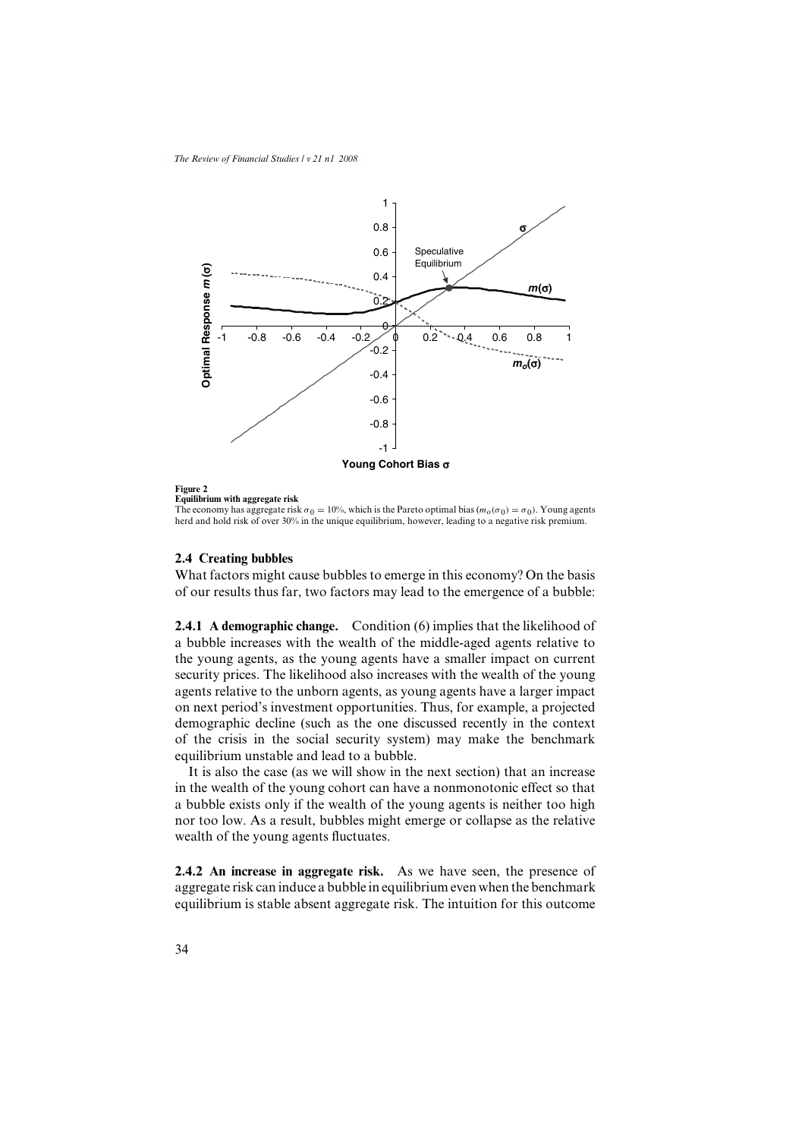

#### **Figure 2**

**Equilibrium with aggregate risk**

The economy has aggregate risk  $\sigma_0 = 10$ %, which is the Pareto optimal bias ( $m_o(\sigma_0) = \sigma_0$ ). Young agents herd and hold risk of over 30% in the unique equilibrium, however, leading to a negative risk premium.

#### **2.4 Creating bubbles**

What factors might cause bubbles to emerge in this economy? On the basis of our results thus far, two factors may lead to the emergence of a bubble:

**2.4.1** A demographic change. Condition (6) implies that the likelihood of a bubble increases with the wealth of the middle-aged agents relative to the young agents, as the young agents have a smaller impact on current security prices. The likelihood also increases with the wealth of the young agents relative to the unborn agents, as young agents have a larger impact on next period's investment opportunities. Thus, for example, a projected demographic decline (such as the one discussed recently in the context of the crisis in the social security system) may make the benchmark equilibrium unstable and lead to a bubble.

It is also the case (as we will show in the next section) that an increase in the wealth of the young cohort can have a nonmonotonic effect so that a bubble exists only if the wealth of the young agents is neither too high nor too low. As a result, bubbles might emerge or collapse as the relative wealth of the young agents fluctuates.

**2.4.2 An increase in aggregate risk.** As we have seen, the presence of aggregate risk can induce a bubble in equilibrium even when the benchmark equilibrium is stable absent aggregate risk. The intuition for this outcome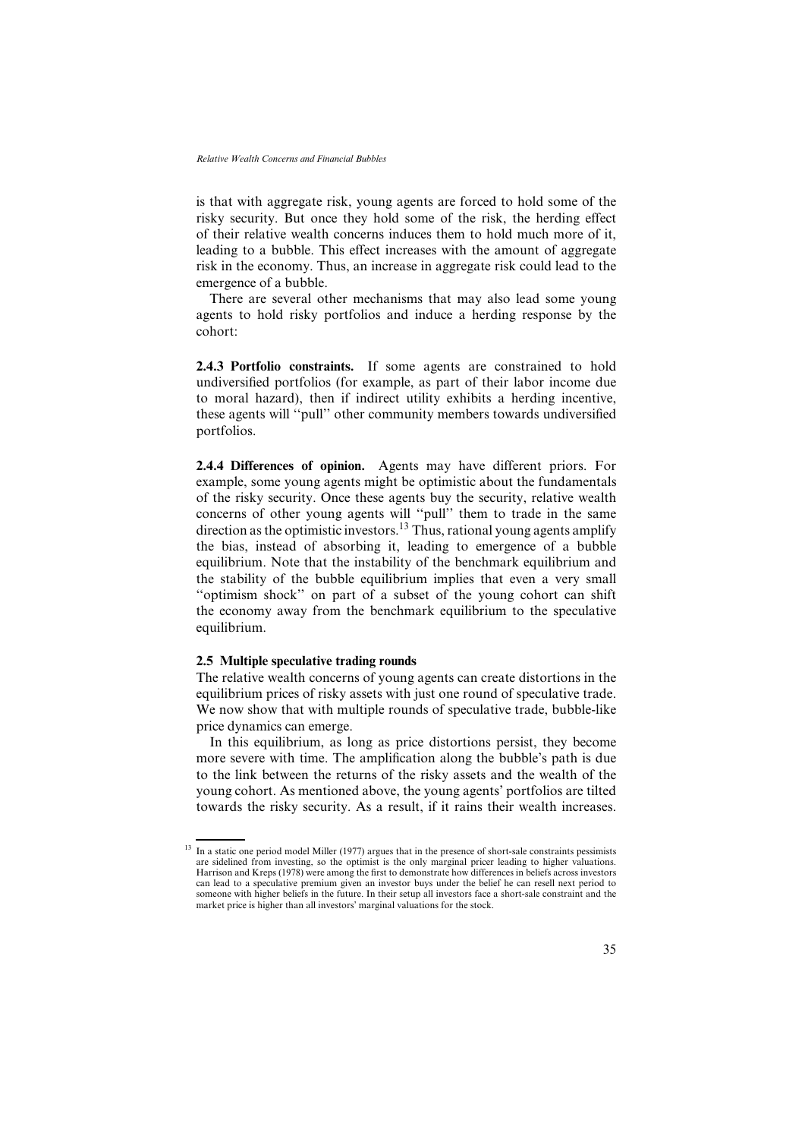is that with aggregate risk, young agents are forced to hold some of the risky security. But once they hold some of the risk, the herding effect of their relative wealth concerns induces them to hold much more of it, leading to a bubble. This effect increases with the amount of aggregate risk in the economy. Thus, an increase in aggregate risk could lead to the emergence of a bubble.

There are several other mechanisms that may also lead some young agents to hold risky portfolios and induce a herding response by the cohort:

**2.4.3 Portfolio constraints.** If some agents are constrained to hold undiversified portfolios (for example, as part of their labor income due to moral hazard), then if indirect utility exhibits a herding incentive, these agents will ''pull'' other community members towards undiversified portfolios.

**2.4.4 Differences of opinion.** Agents may have different priors. For example, some young agents might be optimistic about the fundamentals of the risky security. Once these agents buy the security, relative wealth concerns of other young agents will ''pull'' them to trade in the same direction as the optimistic investors.<sup>13</sup> Thus, rational young agents amplify the bias, instead of absorbing it, leading to emergence of a bubble equilibrium. Note that the instability of the benchmark equilibrium and the stability of the bubble equilibrium implies that even a very small ''optimism shock'' on part of a subset of the young cohort can shift the economy away from the benchmark equilibrium to the speculative equilibrium.

### **2.5 Multiple speculative trading rounds**

The relative wealth concerns of young agents can create distortions in the equilibrium prices of risky assets with just one round of speculative trade. We now show that with multiple rounds of speculative trade, bubble-like price dynamics can emerge.

In this equilibrium, as long as price distortions persist, they become more severe with time. The amplification along the bubble's path is due to the link between the returns of the risky assets and the wealth of the young cohort. As mentioned above, the young agents' portfolios are tilted towards the risky security. As a result, if it rains their wealth increases.

<sup>&</sup>lt;sup>13</sup> In a static one period model Miller (1977) argues that in the presence of short-sale constraints pessimists are sidelined from investing, so the optimist is the only marginal pricer leading to higher valuations. Harrison and Kreps (1978) were among the first to demonstrate how differences in beliefs across investors can lead to a speculative premium given an investor buys under the belief he can resell next period to someone with higher beliefs in the future. In their setup all investors face a short-sale constraint and the market price is higher than all investors' marginal valuations for the stock.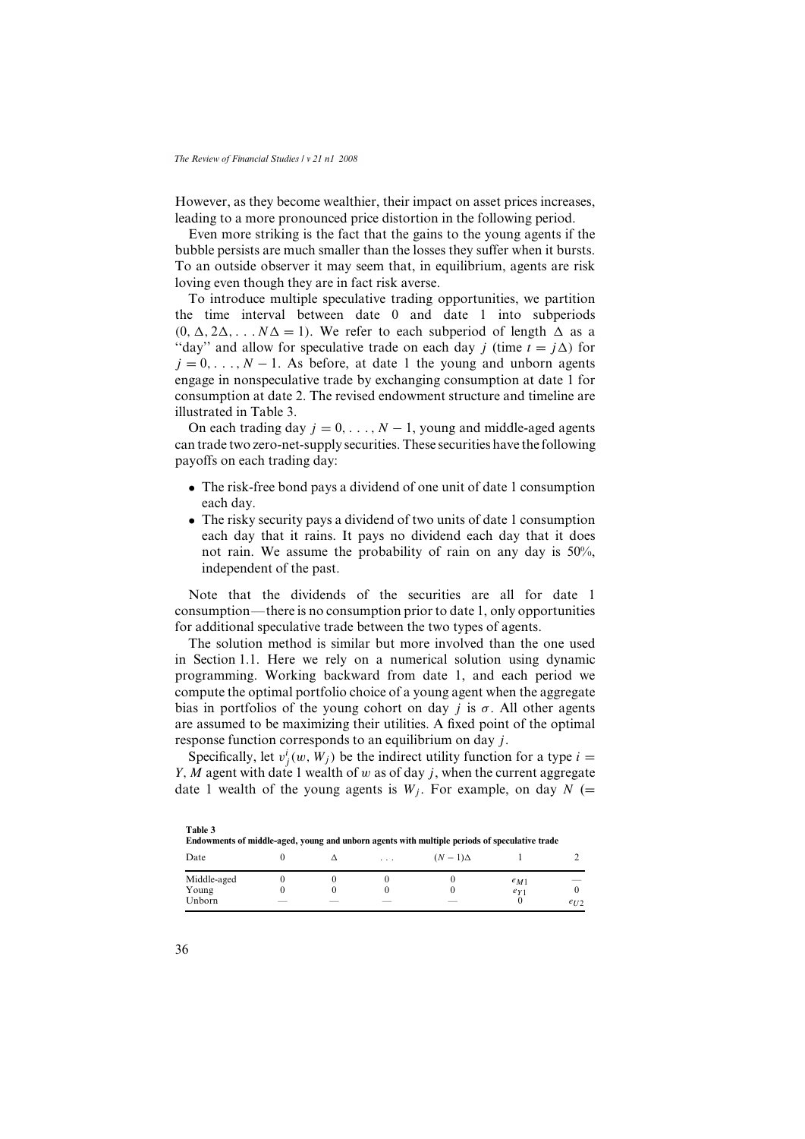However, as they become wealthier, their impact on asset prices increases, leading to a more pronounced price distortion in the following period.

Even more striking is the fact that the gains to the young agents if the bubble persists are much smaller than the losses they suffer when it bursts. To an outside observer it may seem that, in equilibrium, agents are risk loving even though they are in fact risk averse.

To introduce multiple speculative trading opportunities, we partition the time interval between date 0 and date 1 into subperiods  $(0, \Delta, 2\Delta, \ldots N\Delta = 1)$ . We refer to each subperiod of length  $\Delta$  as a "day" and allow for speculative trade on each day *j* (time  $t = j\Delta$ ) for  $j = 0, \ldots, N - 1$ . As before, at date 1 the young and unborn agents engage in nonspeculative trade by exchanging consumption at date 1 for consumption at date 2. The revised endowment structure and timeline are illustrated in Table 3.

On each trading day  $j = 0, \ldots, N - 1$ , young and middle-aged agents can trade two zero-net-supply securities. These securities have the following payoffs on each trading day:

- The risk-free bond pays a dividend of one unit of date 1 consumption each day.
- The risky security pays a dividend of two units of date 1 consumption each day that it rains. It pays no dividend each day that it does not rain. We assume the probability of rain on any day is 50%, independent of the past.

Note that the dividends of the securities are all for date 1 consumption— there is no consumption prior to date 1, only opportunities for additional speculative trade between the two types of agents.

The solution method is similar but more involved than the one used in Section 1.1. Here we rely on a numerical solution using dynamic programming. Working backward from date 1, and each period we compute the optimal portfolio choice of a young agent when the aggregate bias in portfolios of the young cohort on day  $j$  is  $\sigma$ . All other agents are assumed to be maximizing their utilities. A fixed point of the optimal response function corresponds to an equilibrium on day *j*.

Specifically, let  $v_j^i(w, W_j)$  be the indirect utility function for a type  $i =$ *Y,M* agent with date 1 wealth of *w* as of day *j*, when the current aggregate date 1 wealth of the young agents is  $W_i$ . For example, on day  $N$  (=

**Table 3 Endowments of middle-aged, young and unborn agents with multiple periods of speculative trade**

| Date                           |     |     | $\cdots$ | $(N-1)\Delta$ |                      |                                      |
|--------------------------------|-----|-----|----------|---------------|----------------------|--------------------------------------|
| Middle-aged<br>Young<br>Unborn | $-$ | $-$ | __       | __            | $e_{M1}$<br>$e_{Y1}$ | $\overline{\phantom{a}}$<br>$e_{U2}$ |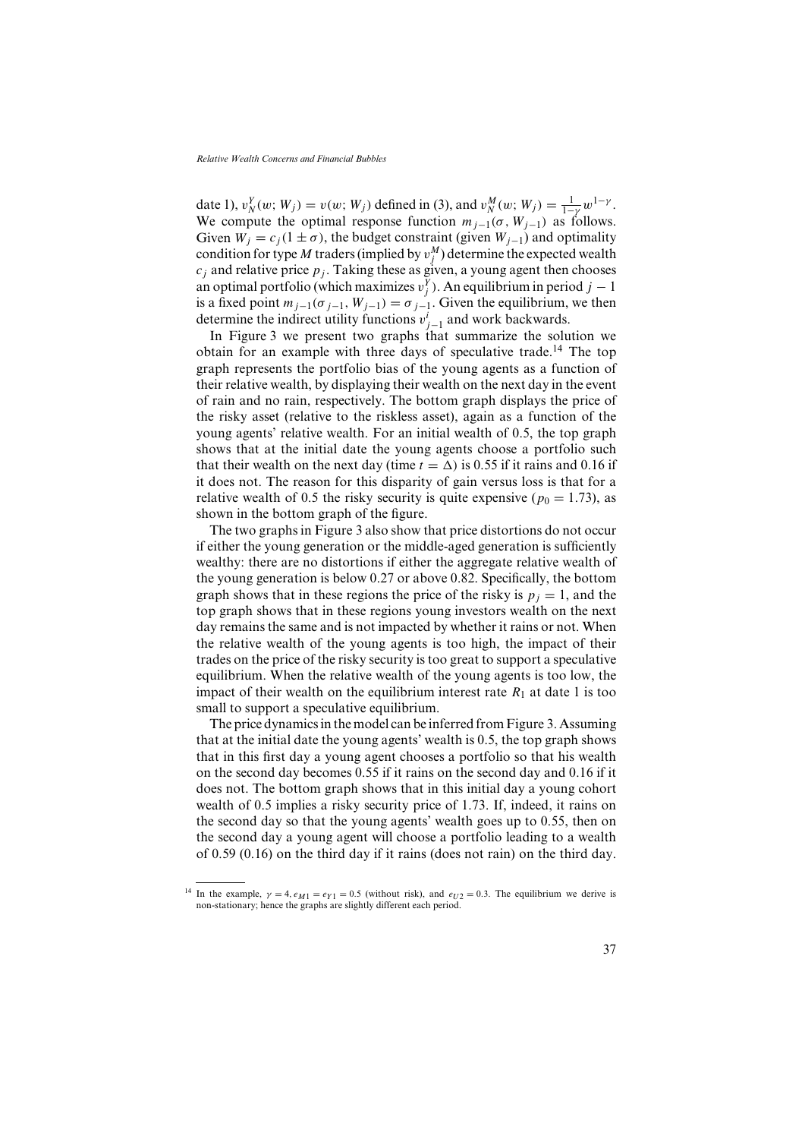date 1),  $v_N^Y(w; W_j) = v(w; W_j)$  defined in (3), and  $v_N^M(w; W_j) = \frac{1}{1-\gamma} w^{1-\gamma}$ . We compute the optimal response function  $m_{i-1}(\sigma, W_{i-1})$  as follows. Given  $W_i = c_i(1 \pm \sigma)$ , the budget constraint (given  $W_{i-1}$ ) and optimality condition for type *M* traders (implied by  $v_j^M$ ) determine the expected wealth  $c_j$  and relative price  $p_j$ . Taking these as given, a young agent then chooses an optimal portfolio (which maximizes  $v_j^Y$ ). An equilibrium in period  $j-1$ is a fixed point  $m_{j-1}(\sigma_{j-1}, W_{j-1}) = \sigma_{j-1}$ . Given the equilibrium, we then determine the indirect utility functions  $v_{j-1}^i$  and work backwards.

In Figure 3 we present two graphs that summarize the solution we obtain for an example with three days of speculative trade.<sup>14</sup> The top graph represents the portfolio bias of the young agents as a function of their relative wealth, by displaying their wealth on the next day in the event of rain and no rain, respectively. The bottom graph displays the price of the risky asset (relative to the riskless asset), again as a function of the young agents' relative wealth. For an initial wealth of 0.5, the top graph shows that at the initial date the young agents choose a portfolio such that their wealth on the next day (time  $t = \Delta$ ) is 0.55 if it rains and 0.16 if it does not. The reason for this disparity of gain versus loss is that for a relative wealth of 0.5 the risky security is quite expensive ( $p_0 = 1.73$ ), as shown in the bottom graph of the figure.

The two graphs in Figure 3 also show that price distortions do not occur if either the young generation or the middle-aged generation is sufficiently wealthy: there are no distortions if either the aggregate relative wealth of the young generation is below 0.27 or above 0.82. Specifically, the bottom graph shows that in these regions the price of the risky is  $p_i = 1$ , and the top graph shows that in these regions young investors wealth on the next day remains the same and is not impacted by whether it rains or not. When the relative wealth of the young agents is too high, the impact of their trades on the price of the risky security is too great to support a speculative equilibrium. When the relative wealth of the young agents is too low, the impact of their wealth on the equilibrium interest rate  $R_1$  at date 1 is too small to support a speculative equilibrium.

The price dynamics in the model can be inferred from Figure 3. Assuming that at the initial date the young agents' wealth is 0.5, the top graph shows that in this first day a young agent chooses a portfolio so that his wealth on the second day becomes 0.55 if it rains on the second day and 0.16 if it does not. The bottom graph shows that in this initial day a young cohort wealth of 0.5 implies a risky security price of 1.73. If, indeed, it rains on the second day so that the young agents' wealth goes up to 0.55, then on the second day a young agent will choose a portfolio leading to a wealth of 0.59 (0.16) on the third day if it rains (does not rain) on the third day.

<sup>&</sup>lt;sup>14</sup> In the example,  $\gamma = 4$ ,  $e_{M1} = e_{Y1} = 0.5$  (without risk), and  $e_{U2} = 0.3$ . The equilibrium we derive is non-stationary; hence the graphs are slightly different each period.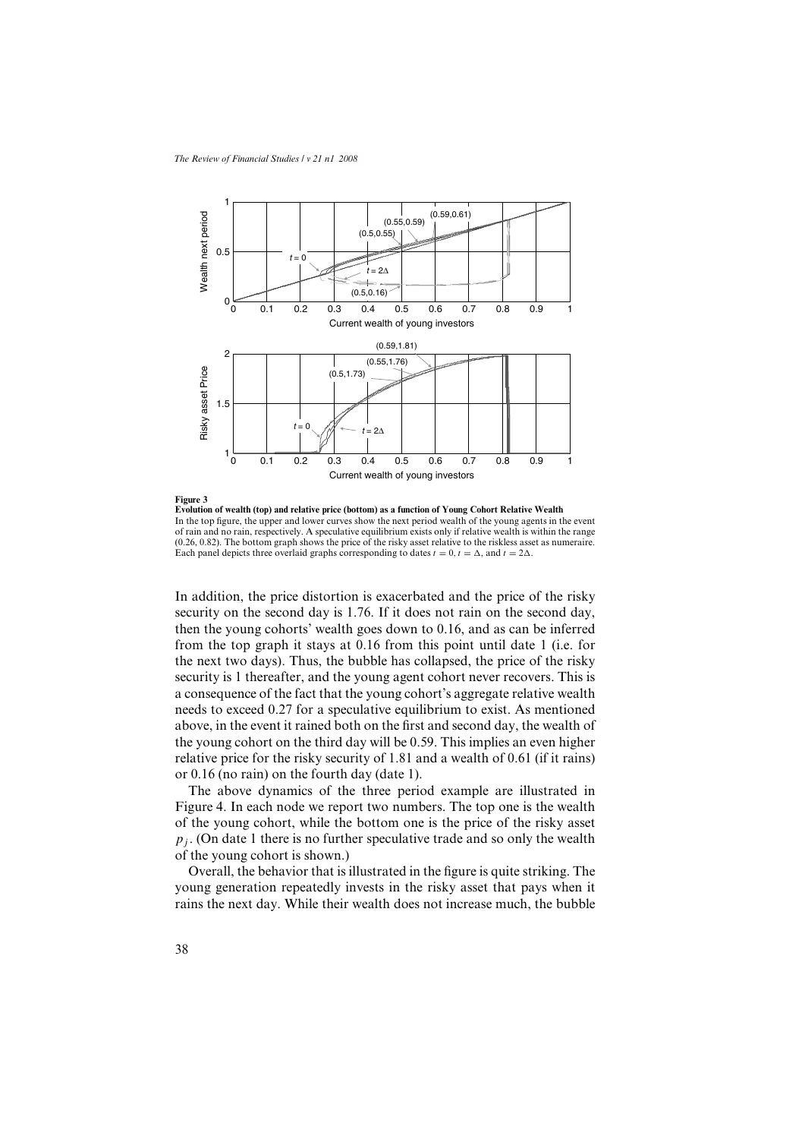

**Figure 3 Evolution of wealth (top) and relative price (bottom) as a function of Young Cohort Relative Wealth** In the top figure, the upper and lower curves show the next period wealth of the young agents in the event of rain and no rain, respectively. A speculative equilibrium exists only if relative wealth is within the range (0.26, 0.82). The bottom graph shows the price of the risky asset relative to the riskless asset as numeraire. Each panel depicts three overlaid graphs corresponding to dates  $t = 0$ ,  $t = \Delta$ , and  $t = 2\Delta$ .

In addition, the price distortion is exacerbated and the price of the risky security on the second day is 1.76. If it does not rain on the second day, then the young cohorts' wealth goes down to 0.16, and as can be inferred from the top graph it stays at 0.16 from this point until date 1 (i.e. for the next two days). Thus, the bubble has collapsed, the price of the risky security is 1 thereafter, and the young agent cohort never recovers. This is a consequence of the fact that the young cohort's aggregate relative wealth needs to exceed 0.27 for a speculative equilibrium to exist. As mentioned above, in the event it rained both on the first and second day, the wealth of the young cohort on the third day will be 0.59. This implies an even higher relative price for the risky security of 1.81 and a wealth of 0.61 (if it rains) or 0.16 (no rain) on the fourth day (date 1).

The above dynamics of the three period example are illustrated in Figure 4. In each node we report two numbers. The top one is the wealth of the young cohort, while the bottom one is the price of the risky asset  $p_i$ . (On date 1 there is no further speculative trade and so only the wealth of the young cohort is shown.)

Overall, the behavior that is illustrated in the figure is quite striking. The young generation repeatedly invests in the risky asset that pays when it rains the next day. While their wealth does not increase much, the bubble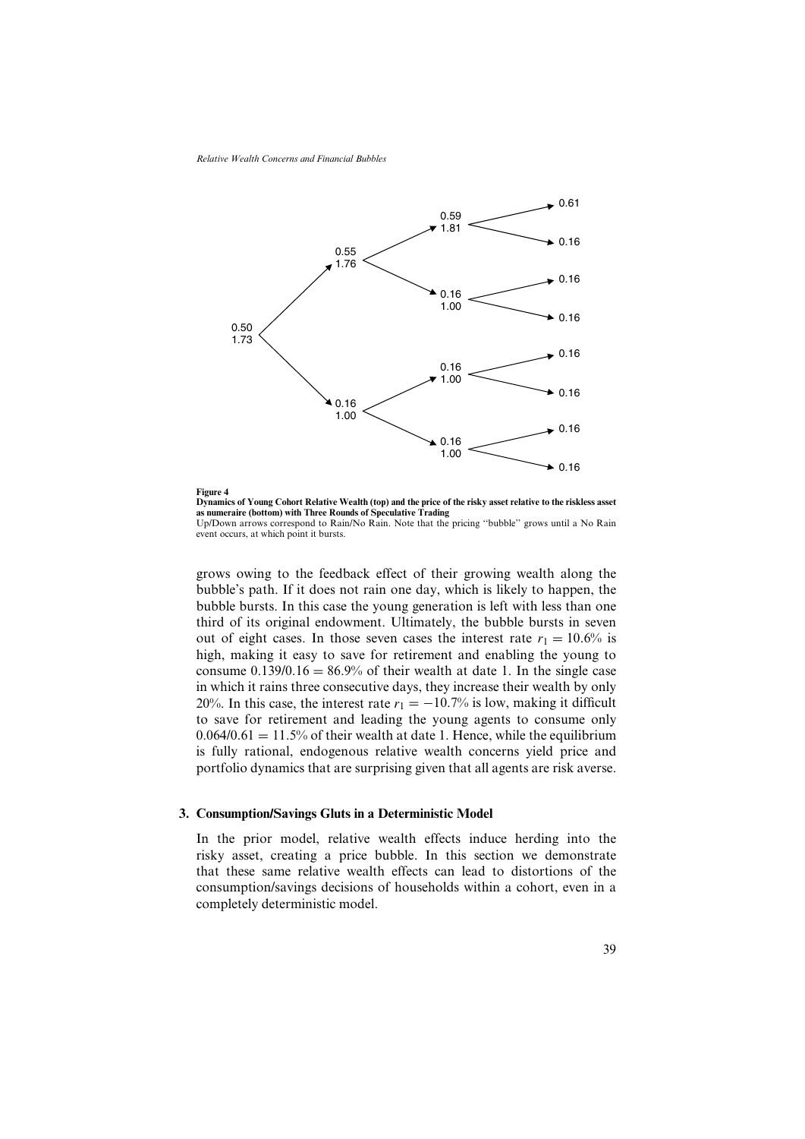



Up/Down arrows correspond to Rain/No Rain. Note that the pricing ''bubble'' grows until a No Rain event occurs, at which point it bursts.

grows owing to the feedback effect of their growing wealth along the bubble's path. If it does not rain one day, which is likely to happen, the bubble bursts. In this case the young generation is left with less than one third of its original endowment. Ultimately, the bubble bursts in seven out of eight cases. In those seven cases the interest rate  $r_1 = 10.6\%$  is high, making it easy to save for retirement and enabling the young to consume  $0.139/0.16 = 86.9\%$  of their wealth at date 1. In the single case in which it rains three consecutive days, they increase their wealth by only 20%. In this case, the interest rate  $r_1 = -10.7\%$  is low, making it difficult to save for retirement and leading the young agents to consume only  $0.064/0.61 = 11.5\%$  of their wealth at date 1. Hence, while the equilibrium is fully rational, endogenous relative wealth concerns yield price and portfolio dynamics that are surprising given that all agents are risk averse.

#### **3. Consumption/Savings Gluts in a Deterministic Model**

In the prior model, relative wealth effects induce herding into the risky asset, creating a price bubble. In this section we demonstrate that these same relative wealth effects can lead to distortions of the consumption/savings decisions of households within a cohort, even in a completely deterministic model.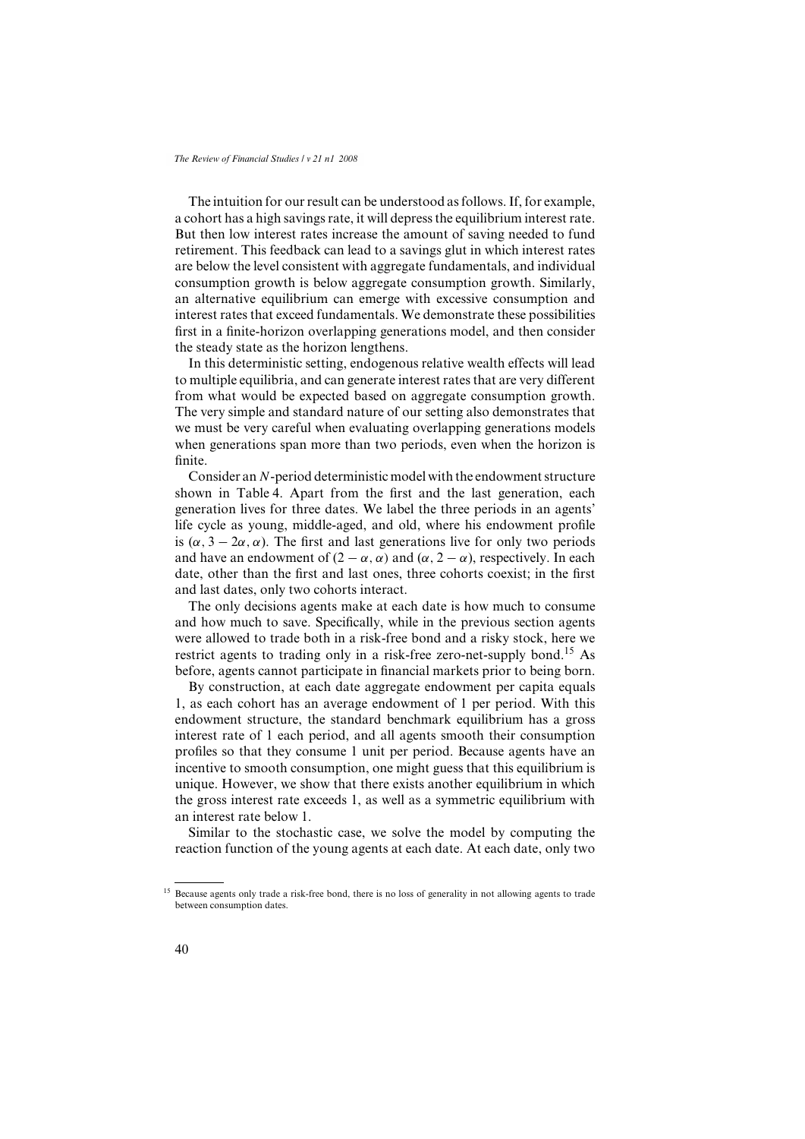The intuition for our result can be understood as follows. If, for example, a cohort has a high savings rate, it will depress the equilibrium interest rate. But then low interest rates increase the amount of saving needed to fund retirement. This feedback can lead to a savings glut in which interest rates are below the level consistent with aggregate fundamentals, and individual consumption growth is below aggregate consumption growth. Similarly, an alternative equilibrium can emerge with excessive consumption and interest rates that exceed fundamentals. We demonstrate these possibilities first in a finite-horizon overlapping generations model, and then consider the steady state as the horizon lengthens.

In this deterministic setting, endogenous relative wealth effects will lead to multiple equilibria, and can generate interest rates that are very different from what would be expected based on aggregate consumption growth. The very simple and standard nature of our setting also demonstrates that we must be very careful when evaluating overlapping generations models when generations span more than two periods, even when the horizon is finite.

Consider an *N*-period deterministic model with the endowment structure shown in Table 4. Apart from the first and the last generation, each generation lives for three dates. We label the three periods in an agents' life cycle as young, middle-aged, and old, where his endowment profile is  $(\alpha, 3 - 2\alpha, \alpha)$ . The first and last generations live for only two periods and have an endowment of  $(2 - \alpha, \alpha)$  and  $(\alpha, 2 - \alpha)$ , respectively. In each date, other than the first and last ones, three cohorts coexist; in the first and last dates, only two cohorts interact.

The only decisions agents make at each date is how much to consume and how much to save. Specifically, while in the previous section agents were allowed to trade both in a risk-free bond and a risky stock, here we restrict agents to trading only in a risk-free zero-net-supply bond.<sup>15</sup> As before, agents cannot participate in financial markets prior to being born.

By construction, at each date aggregate endowment per capita equals 1, as each cohort has an average endowment of 1 per period. With this endowment structure, the standard benchmark equilibrium has a gross interest rate of 1 each period, and all agents smooth their consumption profiles so that they consume 1 unit per period. Because agents have an incentive to smooth consumption, one might guess that this equilibrium is unique. However, we show that there exists another equilibrium in which the gross interest rate exceeds 1, as well as a symmetric equilibrium with an interest rate below 1.

Similar to the stochastic case, we solve the model by computing the reaction function of the young agents at each date. At each date, only two

<sup>&</sup>lt;sup>15</sup> Because agents only trade a risk-free bond, there is no loss of generality in not allowing agents to trade between consumption dates.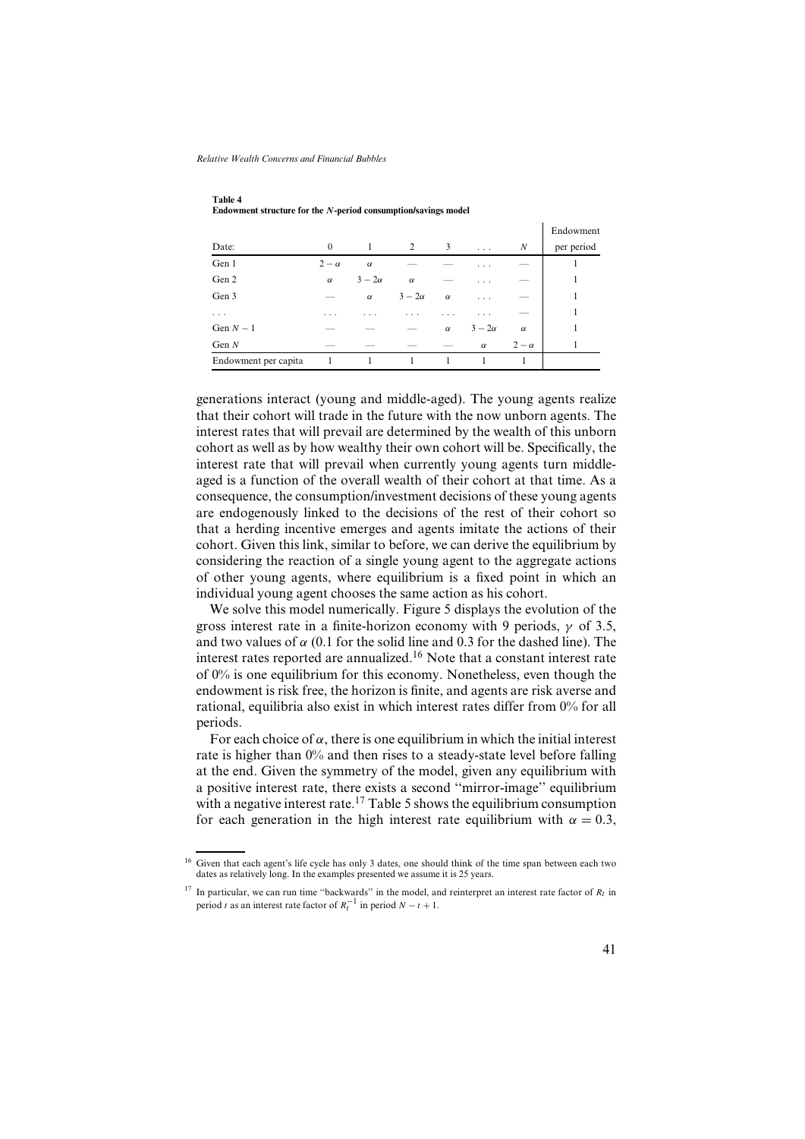|                      |            |             |             |          |                         |            | Endowment  |
|----------------------|------------|-------------|-------------|----------|-------------------------|------------|------------|
| Date:                | $\Omega$   | 1           | 2           | 3        | $\cdots$                | N          | per period |
| Gen 1                | $2-\alpha$ | $\alpha$    |             |          | $\cdot$ $\cdot$ $\cdot$ |            |            |
| Gen 2                | $\alpha$   | $3-2\alpha$ | $\alpha$    |          | .                       |            |            |
| Gen 3                |            | $\alpha$    | $3-2\alpha$ | $\alpha$ | $\cdot$ $\cdot$ $\cdot$ |            |            |
| $\cdots$             | .          | .           | .           | .        | .                       |            |            |
| Gen $N-1$            |            |             |             | $\alpha$ | $3-2\alpha$             | $\alpha$   |            |
| Gen $N$              |            |             |             |          | $\alpha$                | $2-\alpha$ |            |
| Endowment per capita |            |             |             |          |                         |            |            |

#### **Table 4 Endowment structure for the** *N***-period consumption/savings model**

generations interact (young and middle-aged). The young agents realize that their cohort will trade in the future with the now unborn agents. The interest rates that will prevail are determined by the wealth of this unborn cohort as well as by how wealthy their own cohort will be. Specifically, the interest rate that will prevail when currently young agents turn middleaged is a function of the overall wealth of their cohort at that time. As a consequence, the consumption/investment decisions of these young agents are endogenously linked to the decisions of the rest of their cohort so that a herding incentive emerges and agents imitate the actions of their cohort. Given this link, similar to before, we can derive the equilibrium by considering the reaction of a single young agent to the aggregate actions of other young agents, where equilibrium is a fixed point in which an individual young agent chooses the same action as his cohort.

We solve this model numerically. Figure 5 displays the evolution of the gross interest rate in a finite-horizon economy with 9 periods, *γ* of 3.5, and two values of  $\alpha$  (0.1 for the solid line and 0.3 for the dashed line). The interest rates reported are annualized.16 Note that a constant interest rate of 0% is one equilibrium for this economy. Nonetheless, even though the endowment is risk free, the horizon is finite, and agents are risk averse and rational, equilibria also exist in which interest rates differ from 0% for all periods.

For each choice of  $\alpha$ , there is one equilibrium in which the initial interest rate is higher than 0% and then rises to a steady-state level before falling at the end. Given the symmetry of the model, given any equilibrium with a positive interest rate, there exists a second ''mirror-image'' equilibrium with a negative interest rate.<sup>17</sup> Table 5 shows the equilibrium consumption for each generation in the high interest rate equilibrium with  $\alpha = 0.3$ ,

<sup>&</sup>lt;sup>16</sup> Given that each agent's life cycle has only 3 dates, one should think of the time span between each two dates as relatively long. In the examples presented we assume it is 25 years.

<sup>&</sup>lt;sup>17</sup> In particular, we can run time "backwards" in the model, and reinterpret an interest rate factor of  $R_t$  in period *t* as an interest rate factor of  $R_t^{-1}$  in period  $N - t + 1$ .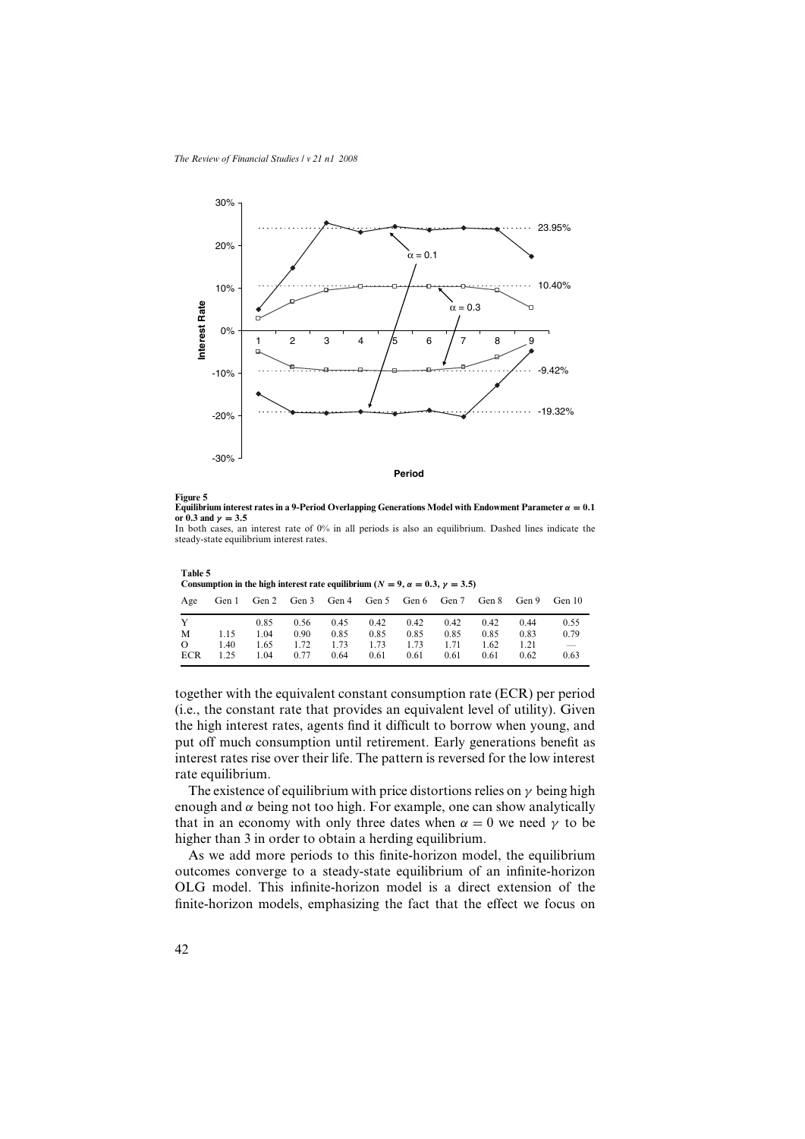

**Figure 5 Equilibrium interest rates in a 9-Period Overlapping Generations Model with Endowment Parameter**  $\alpha = 0.1$ **or**  $0.3$  and  $\gamma = 3.5$ 

In both cases, an interest rate of 0% in all periods is also an equilibrium. Dashed lines indicate the steady-state equilibrium interest rates.

**Table 5 Consumption in the high interest rate equilibrium (** $N = 9$ **,**  $\alpha = 0.3$ **,**  $\gamma = 3.5$ **)** 

| Age      |            |                  |      |           |      |                                    |      |      |      | Gen 1 Gen 2 Gen 3 Gen 4 Gen 5 Gen 6 Gen 7 Gen 8 Gen 9 Gen 10 |
|----------|------------|------------------|------|-----------|------|------------------------------------|------|------|------|--------------------------------------------------------------|
| Y        |            |                  |      |           |      | 0.85 0.56 0.45 0.42 0.42 0.42 0.42 |      |      | 0.44 | 0.55                                                         |
| M        | 1.15       | 1.04             | 0.90 | 0.85      | 0.85 | 0.85                               | 0.85 | 0.85 | 0.83 | 0.79                                                         |
| $\Omega$ | 1.40       | 1.65             | 1.72 | 1.73 1.73 |      | 1.73 1.71                          |      | 1.62 | 1.21 | $\overline{\phantom{a}}$                                     |
|          | $ECR$ 1.25 | $1.04$ 0.77 0.64 |      |           |      | $0.61$ $0.61$                      | 0.61 | 0.61 | 0.62 | 0.63                                                         |

together with the equivalent constant consumption rate (ECR) per period (i.e., the constant rate that provides an equivalent level of utility). Given the high interest rates, agents find it difficult to borrow when young, and put off much consumption until retirement. Early generations benefit as interest rates rise over their life. The pattern is reversed for the low interest rate equilibrium.

The existence of equilibrium with price distortions relies on  $\gamma$  being high enough and  $\alpha$  being not too high. For example, one can show analytically that in an economy with only three dates when  $\alpha = 0$  we need  $\gamma$  to be higher than 3 in order to obtain a herding equilibrium.

As we add more periods to this finite-horizon model, the equilibrium outcomes converge to a steady-state equilibrium of an infinite-horizon OLG model. This infinite-horizon model is a direct extension of the finite-horizon models, emphasizing the fact that the effect we focus on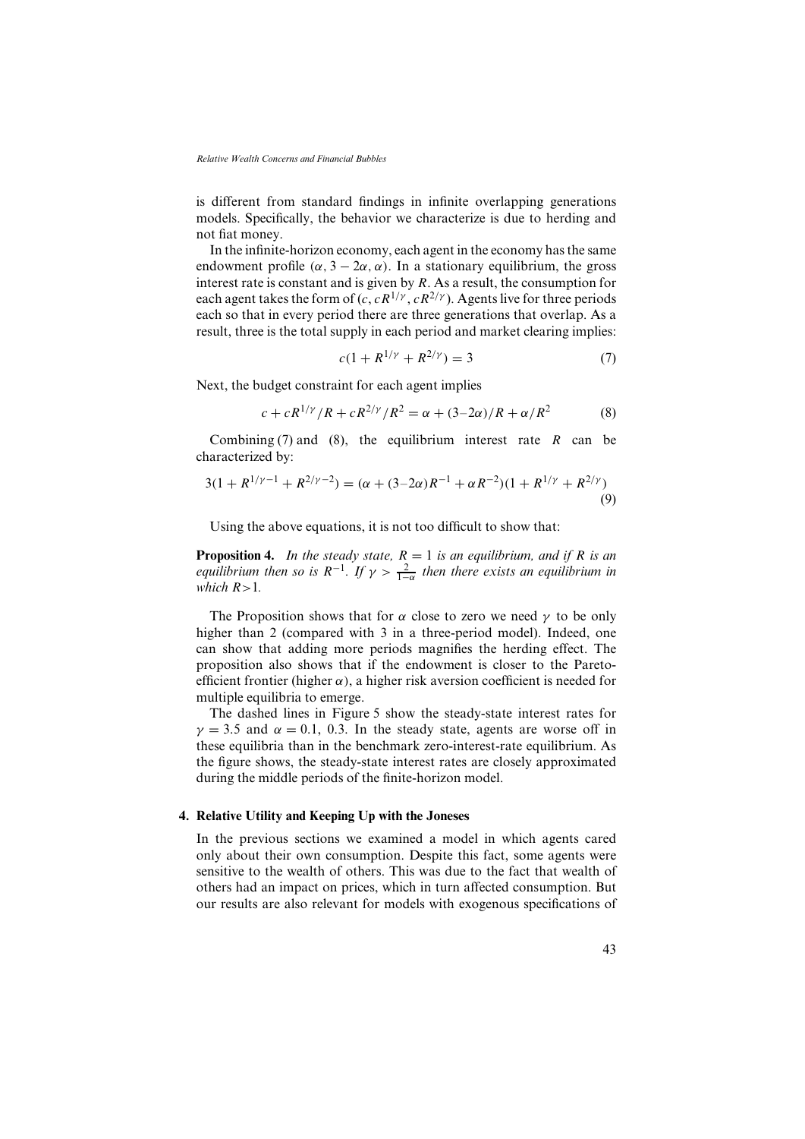is different from standard findings in infinite overlapping generations models. Specifically, the behavior we characterize is due to herding and not fiat money.

In the infinite-horizon economy, each agent in the economy has the same endowment profile  $(\alpha, 3 - 2\alpha, \alpha)$ . In a stationary equilibrium, the gross interest rate is constant and is given by *R*. As a result, the consumption for each agent takes the form of  $(c, cR^{1/\gamma}, cR^{2/\gamma})$ . Agents live for three periods each so that in every period there are three generations that overlap. As a result, three is the total supply in each period and market clearing implies:

$$
c(1 + R^{1/\gamma} + R^{2/\gamma}) = 3
$$
 (7)

Next, the budget constraint for each agent implies

$$
c + cR^{1/\gamma}/R + cR^{2/\gamma}/R^2 = \alpha + (3 - 2\alpha)/R + \alpha/R^2
$$
 (8)

Combining  $(7)$  and  $(8)$ , the equilibrium interest rate *R* can be characterized by:

$$
3(1 + R^{1/\gamma - 1} + R^{2/\gamma - 2}) = (\alpha + (3 - 2\alpha)R^{-1} + \alpha R^{-2})(1 + R^{1/\gamma} + R^{2/\gamma})
$$
\n(9)

Using the above equations, it is not too difficult to show that:

**Proposition 4.** *In the steady state,*  $R = 1$  *is an equilibrium, and if*  $R$  *is an equilibrium then so is*  $R^{-1}$ *. If*  $\gamma > \frac{2}{1-\alpha}$  *then there exists an equilibrium in which R>*1*.*

The Proposition shows that for *α* close to zero we need *γ* to be only higher than 2 (compared with 3 in a three-period model). Indeed, one can show that adding more periods magnifies the herding effect. The proposition also shows that if the endowment is closer to the Paretoefficient frontier (higher *α)*, a higher risk aversion coefficient is needed for multiple equilibria to emerge.

The dashed lines in Figure 5 show the steady-state interest rates for  $\gamma = 3.5$  and  $\alpha = 0.1$ , 0.3. In the steady state, agents are worse off in these equilibria than in the benchmark zero-interest-rate equilibrium. As the figure shows, the steady-state interest rates are closely approximated during the middle periods of the finite-horizon model.

### **4. Relative Utility and Keeping Up with the Joneses**

In the previous sections we examined a model in which agents cared only about their own consumption. Despite this fact, some agents were sensitive to the wealth of others. This was due to the fact that wealth of others had an impact on prices, which in turn affected consumption. But our results are also relevant for models with exogenous specifications of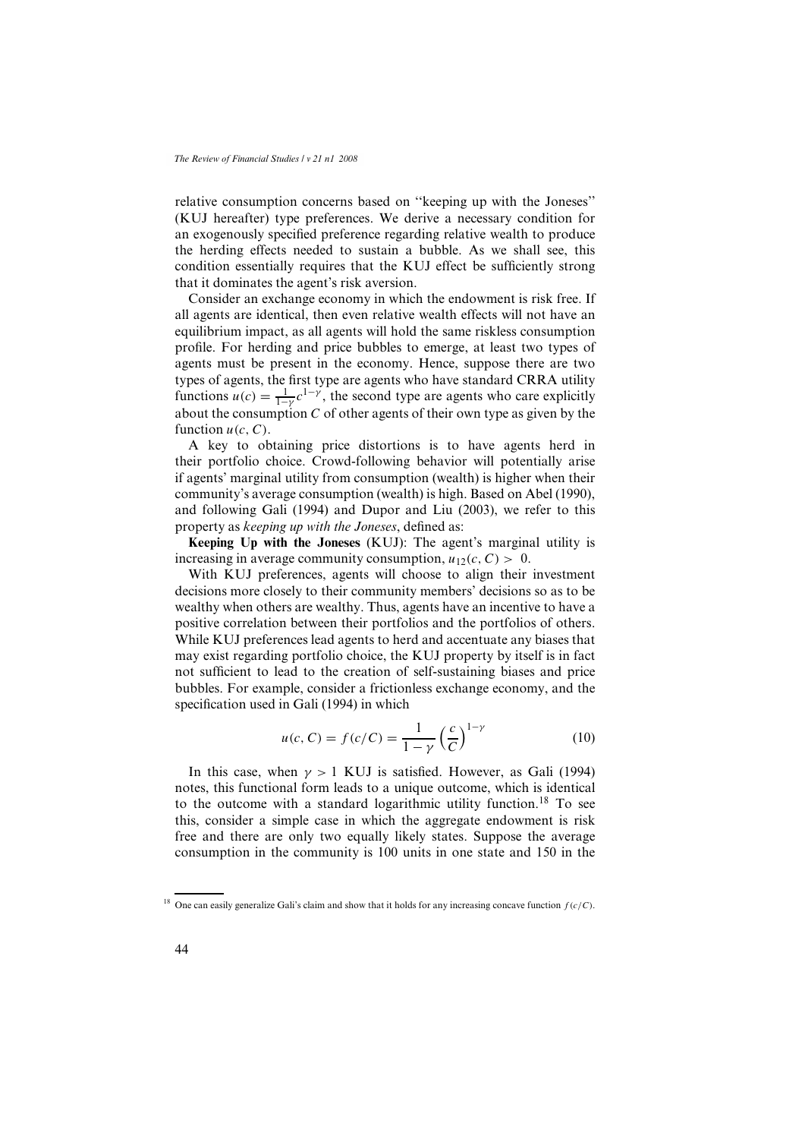relative consumption concerns based on ''keeping up with the Joneses'' (KUJ hereafter) type preferences. We derive a necessary condition for an exogenously specified preference regarding relative wealth to produce the herding effects needed to sustain a bubble. As we shall see, this condition essentially requires that the KUJ effect be sufficiently strong that it dominates the agent's risk aversion.

Consider an exchange economy in which the endowment is risk free. If all agents are identical, then even relative wealth effects will not have an equilibrium impact, as all agents will hold the same riskless consumption profile. For herding and price bubbles to emerge, at least two types of agents must be present in the economy. Hence, suppose there are two types of agents, the first type are agents who have standard CRRA utility functions  $u(c) = \frac{1}{1-\gamma} c^{1-\gamma}$ , the second type are agents who care explicitly about the consumption *C* of other agents of their own type as given by the function *u(c, C)*.

A key to obtaining price distortions is to have agents herd in their portfolio choice. Crowd-following behavior will potentially arise if agents' marginal utility from consumption (wealth) is higher when their community's average consumption (wealth) is high. Based on Abel (1990), and following Gali (1994) and Dupor and Liu (2003), we refer to this property as *keeping up with the Joneses*, defined as:

**Keeping Up with the Joneses** (KUJ): The agent's marginal utility is increasing in average community consumption,  $u_{12}(c, C) > 0$ .

With KUJ preferences, agents will choose to align their investment decisions more closely to their community members' decisions so as to be wealthy when others are wealthy. Thus, agents have an incentive to have a positive correlation between their portfolios and the portfolios of others. While KUJ preferences lead agents to herd and accentuate any biases that may exist regarding portfolio choice, the KUJ property by itself is in fact not sufficient to lead to the creation of self-sustaining biases and price bubbles. For example, consider a frictionless exchange economy, and the specification used in Gali (1994) in which

$$
u(c, C) = f(c/C) = \frac{1}{1 - \gamma} \left(\frac{c}{C}\right)^{1 - \gamma}
$$
 (10)

In this case, when  $\gamma > 1$  KUJ is satisfied. However, as Gali (1994) notes, this functional form leads to a unique outcome, which is identical to the outcome with a standard logarithmic utility function.<sup>18</sup> To see this, consider a simple case in which the aggregate endowment is risk free and there are only two equally likely states. Suppose the average consumption in the community is 100 units in one state and 150 in the

<sup>&</sup>lt;sup>18</sup> One can easily generalize Gali's claim and show that it holds for any increasing concave function  $f(c/C)$ .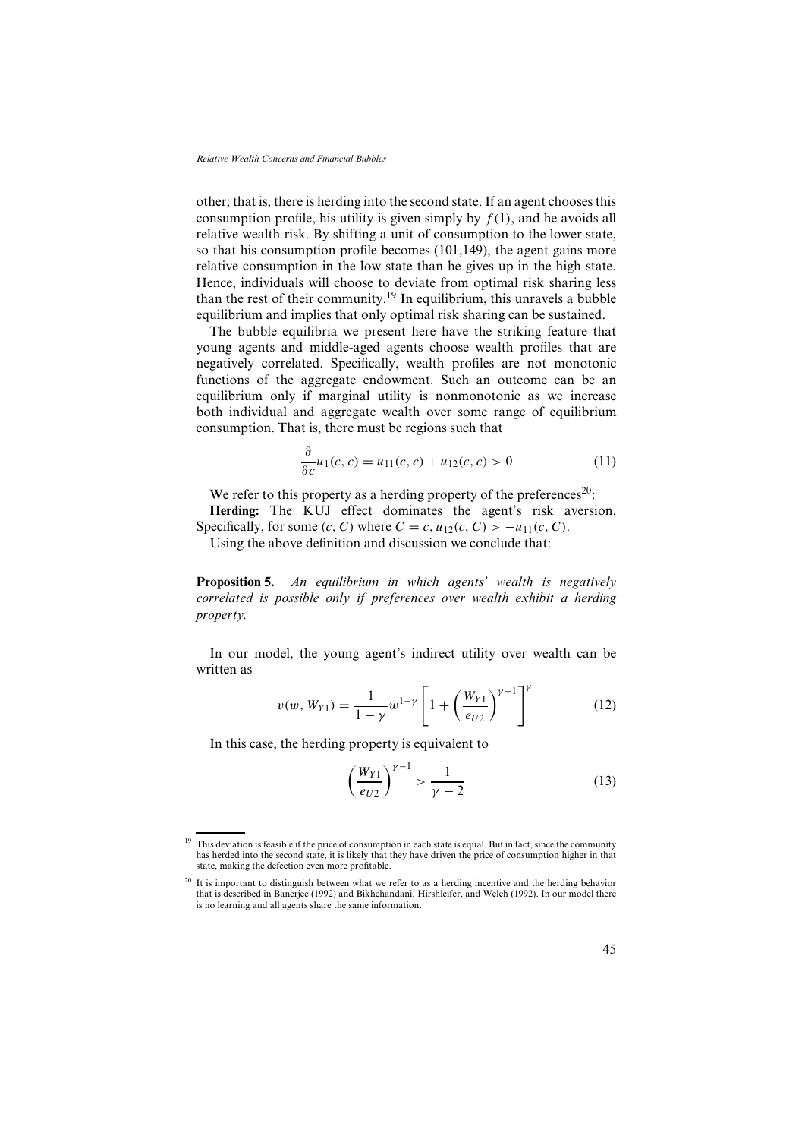other; that is, there is herding into the second state. If an agent chooses this consumption profile, his utility is given simply by  $f(1)$ , and he avoids all relative wealth risk. By shifting a unit of consumption to the lower state, so that his consumption profile becomes (101,149), the agent gains more relative consumption in the low state than he gives up in the high state. Hence, individuals will choose to deviate from optimal risk sharing less than the rest of their community.<sup>19</sup> In equilibrium, this unravels a bubble equilibrium and implies that only optimal risk sharing can be sustained.

The bubble equilibria we present here have the striking feature that young agents and middle-aged agents choose wealth profiles that are negatively correlated. Specifically, wealth profiles are not monotonic functions of the aggregate endowment. Such an outcome can be an equilibrium only if marginal utility is nonmonotonic as we increase both individual and aggregate wealth over some range of equilibrium consumption. That is, there must be regions such that

$$
\frac{\partial}{\partial c}u_1(c,c) = u_{11}(c,c) + u_{12}(c,c) > 0 \tag{11}
$$

We refer to this property as a herding property of the preferences<sup>20</sup>:

**Herding:** The KUJ effect dominates the agent's risk aversion. Specifically, for some  $(c, C)$  where  $C = c$ ,  $u_{12}(c, C) > -u_{11}(c, C)$ .

Using the above definition and discussion we conclude that:

**Proposition 5.** *An equilibrium in which agents' wealth is negatively correlated is possible only if preferences over wealth exhibit a herding property.*

In our model, the young agent's indirect utility over wealth can be written as

$$
v(w, W_{Y1}) = \frac{1}{1 - \gamma} w^{1 - \gamma} \left[ 1 + \left( \frac{W_{Y1}}{e_{U2}} \right)^{\gamma - 1} \right]^\gamma \tag{12}
$$

In this case, the herding property is equivalent to

$$
\left(\frac{W_{Y1}}{e_{U2}}\right)^{\gamma-1} > \frac{1}{\gamma-2} \tag{13}
$$

<sup>&</sup>lt;sup>19</sup> This deviation is feasible if the price of consumption in each state is equal. But in fact, since the community has herded into the second state, it is likely that they have driven the price of consumption higher in that state, making the defection even more profitable.

<sup>&</sup>lt;sup>20</sup> It is important to distinguish between what we refer to as a herding incentive and the herding behavior that is described in Banerjee (1992) and Bikhchandani, Hirshleifer, and Welch (1992). In our model there is no learning and all agents share the same information.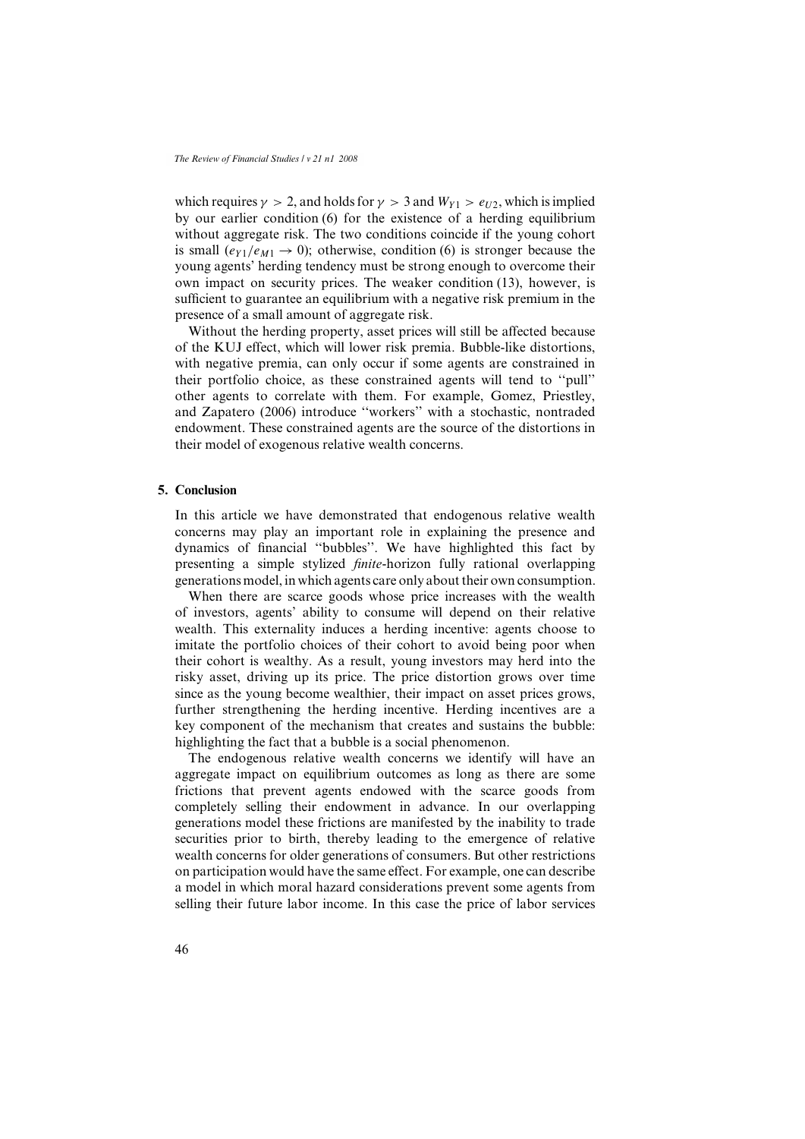which requires  $\gamma > 2$ , and holds for  $\gamma > 3$  and  $W_{Y1} > e_{U2}$ , which is implied by our earlier condition (6) for the existence of a herding equilibrium without aggregate risk. The two conditions coincide if the young cohort is small  $(e_{Y1}/e_{M1} \rightarrow 0)$ ; otherwise, condition (6) is stronger because the young agents' herding tendency must be strong enough to overcome their own impact on security prices. The weaker condition (13), however, is sufficient to guarantee an equilibrium with a negative risk premium in the presence of a small amount of aggregate risk.

Without the herding property, asset prices will still be affected because of the KUJ effect, which will lower risk premia. Bubble-like distortions, with negative premia, can only occur if some agents are constrained in their portfolio choice, as these constrained agents will tend to ''pull'' other agents to correlate with them. For example, Gomez, Priestley, and Zapatero (2006) introduce ''workers'' with a stochastic, nontraded endowment. These constrained agents are the source of the distortions in their model of exogenous relative wealth concerns.

### **5. Conclusion**

In this article we have demonstrated that endogenous relative wealth concerns may play an important role in explaining the presence and dynamics of financial ''bubbles''. We have highlighted this fact by presenting a simple stylized *finite*-horizon fully rational overlapping generations model, in which agents care only about their own consumption.

When there are scarce goods whose price increases with the wealth of investors, agents' ability to consume will depend on their relative wealth. This externality induces a herding incentive: agents choose to imitate the portfolio choices of their cohort to avoid being poor when their cohort is wealthy. As a result, young investors may herd into the risky asset, driving up its price. The price distortion grows over time since as the young become wealthier, their impact on asset prices grows, further strengthening the herding incentive. Herding incentives are a key component of the mechanism that creates and sustains the bubble: highlighting the fact that a bubble is a social phenomenon.

The endogenous relative wealth concerns we identify will have an aggregate impact on equilibrium outcomes as long as there are some frictions that prevent agents endowed with the scarce goods from completely selling their endowment in advance. In our overlapping generations model these frictions are manifested by the inability to trade securities prior to birth, thereby leading to the emergence of relative wealth concerns for older generations of consumers. But other restrictions on participation would have the same effect. For example, one can describe a model in which moral hazard considerations prevent some agents from selling their future labor income. In this case the price of labor services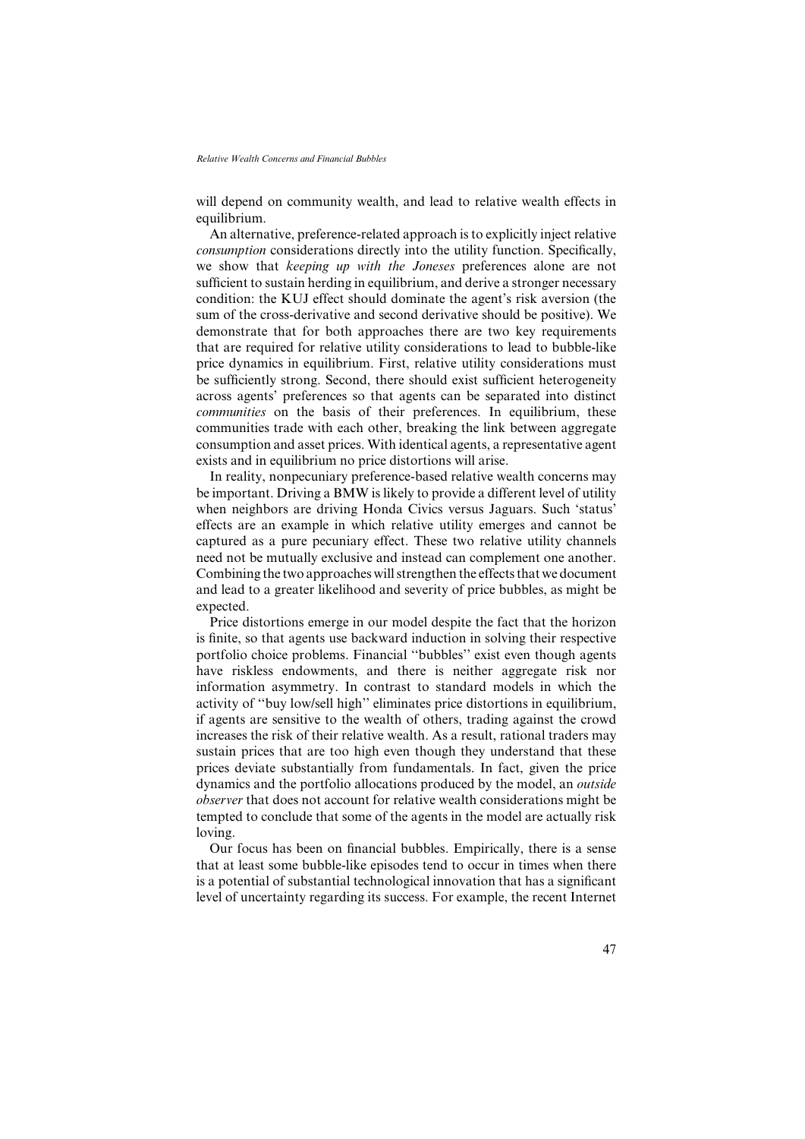will depend on community wealth, and lead to relative wealth effects in equilibrium.

An alternative, preference-related approach is to explicitly inject relative *consumption* considerations directly into the utility function. Specifically, we show that *keeping up with the Joneses* preferences alone are not sufficient to sustain herding in equilibrium, and derive a stronger necessary condition: the KUJ effect should dominate the agent's risk aversion (the sum of the cross-derivative and second derivative should be positive). We demonstrate that for both approaches there are two key requirements that are required for relative utility considerations to lead to bubble-like price dynamics in equilibrium. First, relative utility considerations must be sufficiently strong. Second, there should exist sufficient heterogeneity across agents' preferences so that agents can be separated into distinct *communities* on the basis of their preferences. In equilibrium, these communities trade with each other, breaking the link between aggregate consumption and asset prices. With identical agents, a representative agent exists and in equilibrium no price distortions will arise.

In reality, nonpecuniary preference-based relative wealth concerns may be important. Driving a BMW is likely to provide a different level of utility when neighbors are driving Honda Civics versus Jaguars. Such 'status' effects are an example in which relative utility emerges and cannot be captured as a pure pecuniary effect. These two relative utility channels need not be mutually exclusive and instead can complement one another. Combining the two approaches will strengthen the effects that we document and lead to a greater likelihood and severity of price bubbles, as might be expected.

Price distortions emerge in our model despite the fact that the horizon is finite, so that agents use backward induction in solving their respective portfolio choice problems. Financial ''bubbles'' exist even though agents have riskless endowments, and there is neither aggregate risk nor information asymmetry. In contrast to standard models in which the activity of ''buy low/sell high'' eliminates price distortions in equilibrium, if agents are sensitive to the wealth of others, trading against the crowd increases the risk of their relative wealth. As a result, rational traders may sustain prices that are too high even though they understand that these prices deviate substantially from fundamentals. In fact, given the price dynamics and the portfolio allocations produced by the model, an *outside observer* that does not account for relative wealth considerations might be tempted to conclude that some of the agents in the model are actually risk loving.

Our focus has been on financial bubbles. Empirically, there is a sense that at least some bubble-like episodes tend to occur in times when there is a potential of substantial technological innovation that has a significant level of uncertainty regarding its success. For example, the recent Internet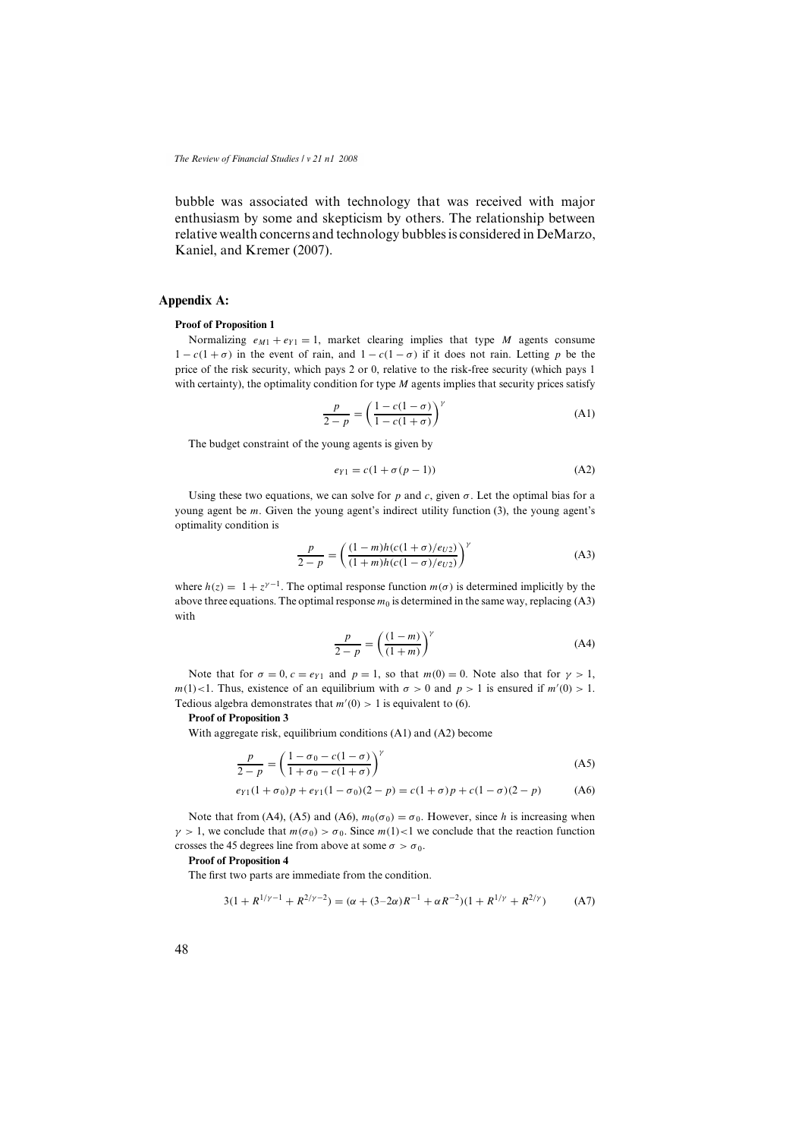bubble was associated with technology that was received with major enthusiasm by some and skepticism by others. The relationship between relative wealth concerns and technology bubbles is considered in DeMarzo, Kaniel, and Kremer (2007).

#### **Appendix A:**

#### **Proof of Proposition 1**

Normalizing  $e_{M1} + e_{Y1} = 1$ , market clearing implies that type *M* agents consume  $1 - c(1 + \sigma)$  in the event of rain, and  $1 - c(1 - \sigma)$  if it does not rain. Letting *p* be the price of the risk security, which pays 2 or 0, relative to the risk-free security (which pays 1 with certainty), the optimality condition for type *M* agents implies that security prices satisfy

$$
\frac{p}{2-p} = \left(\frac{1-c(1-\sigma)}{1-c(1+\sigma)}\right)^{\gamma}
$$
\n(A1)

The budget constraint of the young agents is given by

$$
e_{Y1} = c(1 + \sigma(p - 1))
$$
 (A2)

Using these two equations, we can solve for *p* and *c*, given  $\sigma$ . Let the optimal bias for a young agent be *m*. Given the young agent's indirect utility function (3), the young agent's optimality condition is

$$
\frac{p}{2-p} = \left(\frac{(1-m)h(c(1+\sigma)/e_{U2})}{(1+m)h(c(1-\sigma)/e_{U2})}\right)^{\gamma}
$$
(A3)

where  $h(z) = 1 + z^{\gamma - 1}$ . The optimal response function  $m(\sigma)$  is determined implicitly by the above three equations. The optimal response  $m_0$  is determined in the same way, replacing (A3) with

$$
\frac{p}{2-p} = \left(\frac{(1-m)}{(1+m)}\right)^{\gamma}
$$
(A4)

Note that for  $\sigma = 0$ ,  $c = e_{Y1}$  and  $p = 1$ , so that  $m(0) = 0$ . Note also that for  $\gamma > 1$ , *m*(1)<1. Thus, existence of an equilibrium with  $\sigma > 0$  and  $p > 1$  is ensured if  $m'(0) > 1$ . Tedious algebra demonstrates that  $m'(0) > 1$  is equivalent to (6).

#### **Proof of Proposition 3**

With aggregate risk, equilibrium conditions (A1) and (A2) become

$$
\frac{p}{2-p} = \left(\frac{1-\sigma_0 - c(1-\sigma)}{1+\sigma_0 - c(1+\sigma)}\right)^{\gamma}
$$
\n(A5)

$$
e_{Y1}(1+\sigma_0)p + e_{Y1}(1-\sigma_0)(2-p) = c(1+\sigma)p + c(1-\sigma)(2-p)
$$
 (A6)

Note that from (A4), (A5) and (A6),  $m_0(\sigma_0) = \sigma_0$ . However, since *h* is increasing when  $\gamma > 1$ , we conclude that  $m(\sigma_0) > \sigma_0$ . Since  $m(1) < 1$  we conclude that the reaction function crosses the 45 degrees line from above at some  $\sigma > \sigma_0$ .

#### **Proof of Proposition 4**

The first two parts are immediate from the condition.

$$
3(1 + R^{1/\gamma - 1} + R^{2/\gamma - 2}) = (\alpha + (3 - 2\alpha)R^{-1} + \alpha R^{-2})(1 + R^{1/\gamma} + R^{2/\gamma})
$$
 (A7)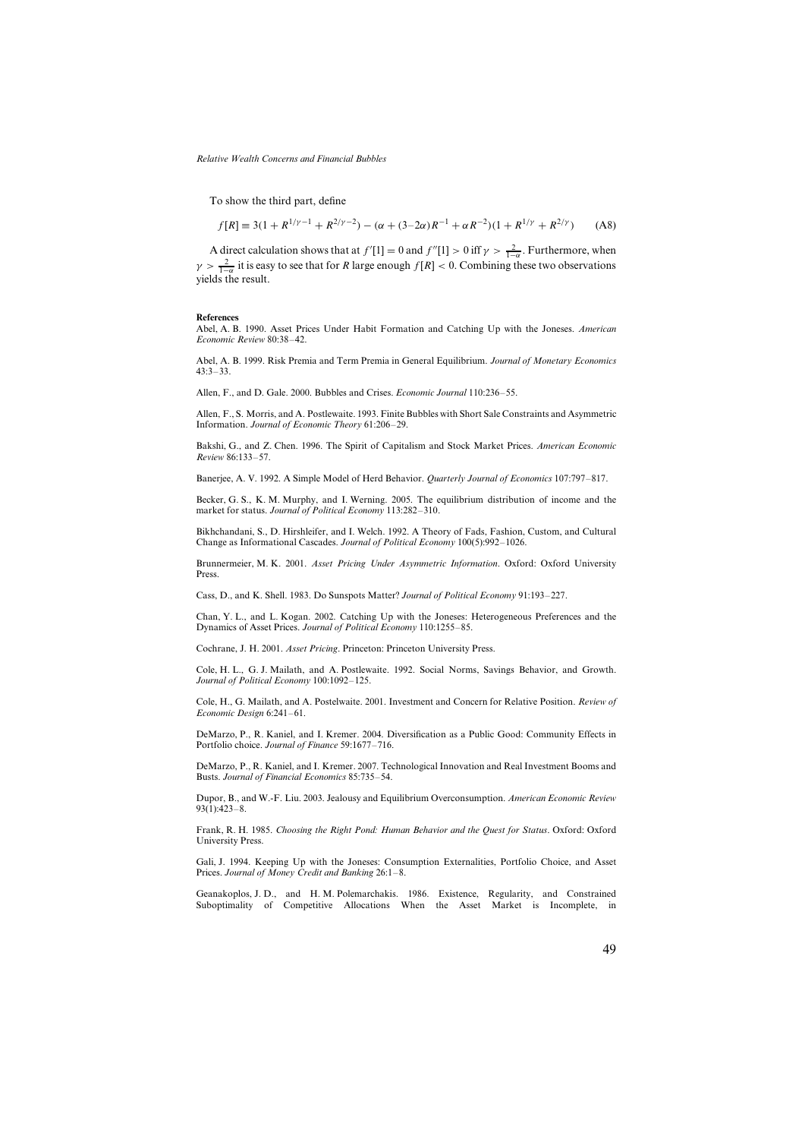To show the third part, define

$$
f[R] \equiv 3(1 + R^{1/\gamma - 1} + R^{2/\gamma - 2}) - (\alpha + (3 - 2\alpha)R^{-1} + \alpha R^{-2})(1 + R^{1/\gamma} + R^{2/\gamma})
$$
 (A8)

A direct calculation shows that at  $f'[1] = 0$  and  $f''[1] > 0$  iff  $\gamma > \frac{2}{1-\alpha}$ . Furthermore, when  $\gamma > \frac{2}{1-\alpha}$  it is easy to see that for *R* large enough  $f[R] < 0$ . Combining these two observations yields the result.

#### **References**

Abel, A. B. 1990. Asset Prices Under Habit Formation and Catching Up with the Joneses. *American Economic Review* 80:38–42.

Abel, A. B. 1999. Risk Premia and Term Premia in General Equilibrium. *Journal of Monetary Economics* 43:3–33.

Allen, F., and D. Gale. 2000. Bubbles and Crises. *Economic Journal* 110:236–55.

Allen, F., S. Morris, and A. Postlewaite. 1993. Finite Bubbles with Short Sale Constraints and Asymmetric Information. *Journal of Economic Theory* 61:206–29.

Bakshi, G., and Z. Chen. 1996. The Spirit of Capitalism and Stock Market Prices. *American Economic Review* 86:133–57.

Banerjee, A. V. 1992. A Simple Model of Herd Behavior. *Quarterly Journal of Economics* 107:797–817.

Becker, G. S., K. M. Murphy, and I. Werning. 2005. The equilibrium distribution of income and the market for status. *Journal of Political Economy* 113:282–310.

Bikhchandani, S., D. Hirshleifer, and I. Welch. 1992. A Theory of Fads, Fashion, Custom, and Cultural Change as Informational Cascades. *Journal of Political Economy* 100(5):992–1026.

Brunnermeier, M. K. 2001. *Asset Pricing Under Asymmetric Information*. Oxford: Oxford University Press.

Cass, D., and K. Shell. 1983. Do Sunspots Matter? *Journal of Political Economy* 91:193–227.

Chan, Y. L., and L. Kogan. 2002. Catching Up with the Joneses: Heterogeneous Preferences and the Dynamics of Asset Prices. *Journal of Political Economy* 110:1255–85.

Cochrane, J. H. 2001. *Asset Pricing*. Princeton: Princeton University Press.

Cole, H. L., G. J. Mailath, and A. Postlewaite. 1992. Social Norms, Savings Behavior, and Growth. *Journal of Political Economy* 100:1092–125.

Cole, H., G. Mailath, and A. Postelwaite. 2001. Investment and Concern for Relative Position. *Review of Economic Design* 6:241–61.

DeMarzo, P., R. Kaniel, and I. Kremer. 2004. Diversification as a Public Good: Community Effects in Portfolio choice. *Journal of Finance* 59:1677–716.

DeMarzo, P., R. Kaniel, and I. Kremer. 2007. Technological Innovation and Real Investment Booms and Busts. *Journal of Financial Economics* 85:735–54.

Dupor, B., and W.-F. Liu. 2003. Jealousy and Equilibrium Overconsumption. *American Economic Review*  $93(1):423-8.$ 

Frank, R. H. 1985. *Choosing the Right Pond: Human Behavior and the Quest for Status*. Oxford: Oxford University Press.

Gali, J. 1994. Keeping Up with the Joneses: Consumption Externalities, Portfolio Choice, and Asset Prices. *Journal of Money Credit and Banking* 26:1–8.

Geanakoplos, J. D., and H. M. Polemarchakis. 1986. Existence, Regularity, and Constrained Suboptimality of Competitive Allocations When the Asset Market is Incomplete, in